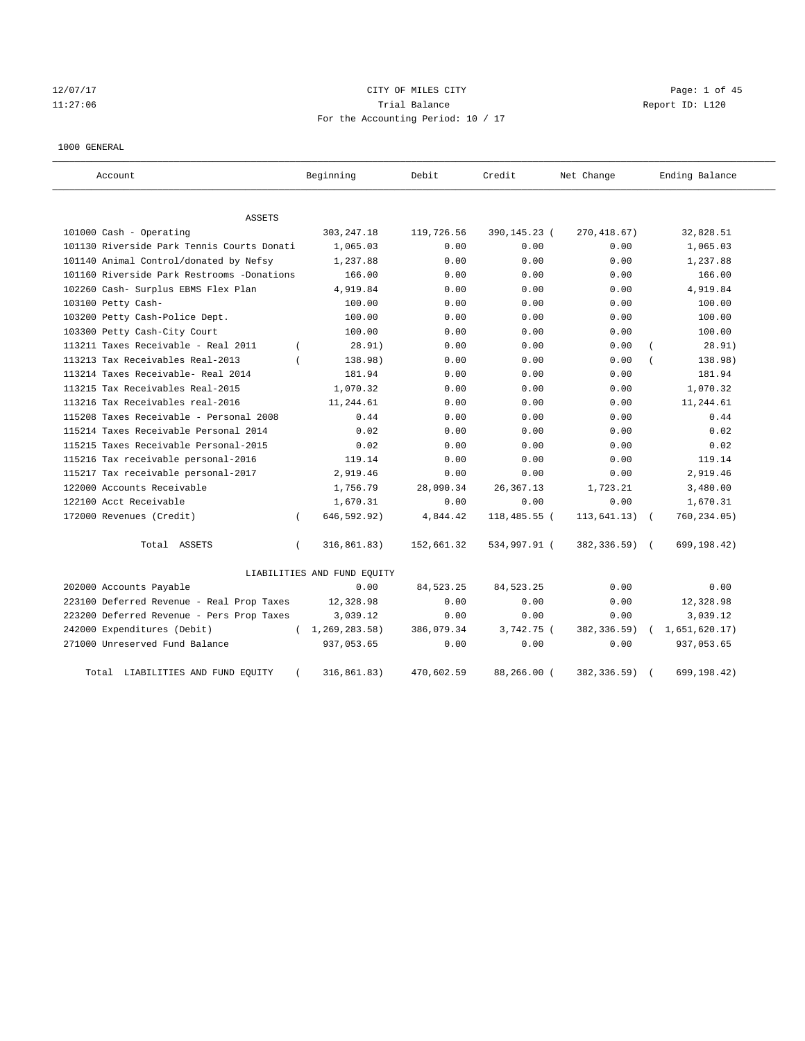12/07/17 CITY OF MILES CITY Page: 1 of 45 11:27:06 Trial Balance Report ID: L120 For the Accounting Period: 10 / 17

#### 1000 GENERAL

| Account                                    |          | Beginning                   | Debit       | Credit       | Net Change    | Ending Balance |
|--------------------------------------------|----------|-----------------------------|-------------|--------------|---------------|----------------|
| ASSETS                                     |          |                             |             |              |               |                |
| 101000 Cash - Operating                    |          | 303, 247. 18                | 119,726.56  | 390,145.23 ( | 270, 418.67)  | 32,828.51      |
| 101130 Riverside Park Tennis Courts Donati |          | 1,065.03                    | 0.00        | 0.00         | 0.00          | 1,065.03       |
| 101140 Animal Control/donated by Nefsy     |          | 1,237.88                    | 0.00        | 0.00         | 0.00          | 1,237.88       |
| 101160 Riverside Park Restrooms -Donations |          | 166.00                      | 0.00        | 0.00         | 0.00          | 166.00         |
| 102260 Cash- Surplus EBMS Flex Plan        |          | 4,919.84                    | 0.00        | 0.00         | 0.00          | 4,919.84       |
| 103100 Petty Cash-                         |          | 100.00                      | 0.00        | 0.00         | 0.00          | 100.00         |
| 103200 Petty Cash-Police Dept.             |          | 100.00                      | 0.00        | 0.00         | 0.00          | 100.00         |
| 103300 Petty Cash-City Court               |          | 100.00                      | 0.00        | 0.00         | 0.00          | 100.00         |
| 113211 Taxes Receivable - Real 2011        | $\left($ | 28.91)                      | 0.00        | 0.00         | 0.00          | 28.91)         |
| 113213 Tax Receivables Real-2013           |          | 138.98)                     | 0.00        | 0.00         | 0.00          | 138.98)        |
| 113214 Taxes Receivable- Real 2014         |          | 181.94                      | 0.00        | 0.00         | 0.00          | 181.94         |
| 113215 Tax Receivables Real-2015           |          | 1,070.32                    | 0.00        | 0.00         | 0.00          | 1,070.32       |
| 113216 Tax Receivables real-2016           |          | 11,244.61                   | 0.00        | 0.00         | 0.00          | 11,244.61      |
| 115208 Taxes Receivable - Personal 2008    |          | 0.44                        | 0.00        | 0.00         | 0.00          | 0.44           |
| 115214 Taxes Receivable Personal 2014      |          | 0.02                        | 0.00        | 0.00         | 0.00          | 0.02           |
| 115215 Taxes Receivable Personal-2015      |          | 0.02                        | 0.00        | 0.00         | 0.00          | 0.02           |
| 115216 Tax receivable personal-2016        |          | 119.14                      | 0.00        | 0.00         | 0.00          | 119.14         |
| 115217 Tax receivable personal-2017        |          | 2,919.46                    | 0.00        | 0.00         | 0.00          | 2,919.46       |
| 122000 Accounts Receivable                 |          | 1,756.79                    | 28,090.34   | 26, 367. 13  | 1,723.21      | 3,480.00       |
| 122100 Acct Receivable                     |          | 1,670.31                    | 0.00        | 0.00         | 0.00          | 1,670.31       |
| 172000 Revenues (Credit)                   | $\left($ | 646,592.92)                 | 4,844.42    | 118,485.55 ( | 113, 641.13)  | 760,234.05)    |
| Total ASSETS                               | $\left($ | 316, 861.83)                | 152,661.32  | 534,997.91 ( | 382,336.59) ( | 699,198.42)    |
|                                            |          | LIABILITIES AND FUND EQUITY |             |              |               |                |
| 202000 Accounts Payable                    |          | 0.00                        | 84, 523. 25 | 84, 523. 25  | 0.00          | 0.00           |
| 223100 Deferred Revenue - Real Prop Taxes  |          | 12,328.98                   | 0.00        | 0.00         | 0.00          | 12,328.98      |
| 223200 Deferred Revenue - Pers Prop Taxes  |          | 3,039.12                    | 0.00        | 0.00         | 0.00          | 3,039.12       |
| 242000 Expenditures (Debit)                |          | (1, 269, 283.58)            | 386,079.34  | 3,742.75 (   | 382,336.59)   | 1,651,620.17)  |
| 271000 Unreserved Fund Balance             |          | 937,053.65                  | 0.00        | 0.00         | 0.00          | 937,053.65     |
| Total LIABILITIES AND FUND EQUITY          |          | 316,861.83)                 | 470,602.59  | 88,266.00 (  | 382,336.59)   | 699,198.42)    |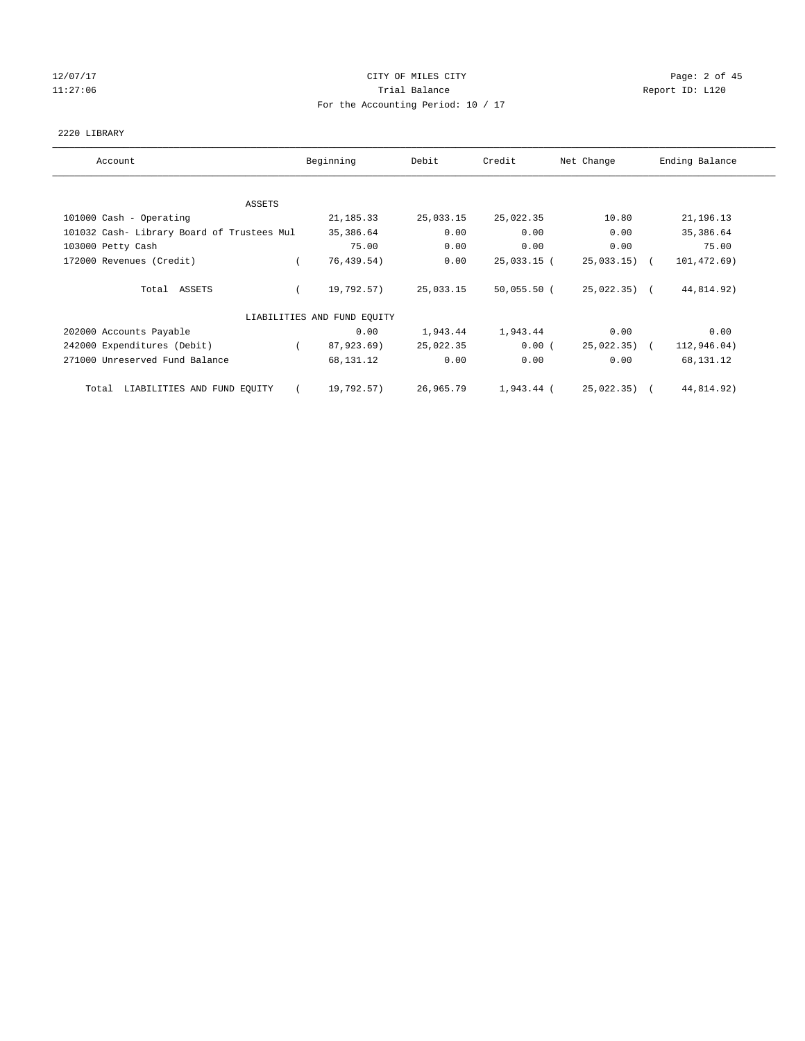# 12/07/17 Page: 2 of 45 11:27:06 **Trial Balance Trial Balance Report ID:** L120 For the Accounting Period: 10 / 17

### 2220 LIBRARY

| Account                                    | Beginning                   | Debit     | Credit        | Net Change     | Ending Balance |
|--------------------------------------------|-----------------------------|-----------|---------------|----------------|----------------|
|                                            |                             |           |               |                |                |
| ASSETS                                     |                             |           |               |                |                |
| 101000 Cash - Operating                    | 21, 185. 33                 | 25,033.15 | 25,022.35     | 10.80          | 21, 196. 13    |
| 101032 Cash- Library Board of Trustees Mul | 35,386.64                   | 0.00      | 0.00          | 0.00           | 35,386.64      |
| 103000 Petty Cash                          | 75.00                       | 0.00      | 0.00          | 0.00           | 75.00          |
| 172000 Revenues (Credit)                   | 76, 439.54)                 | 0.00      | 25,033.15 (   | 25,033.15)     | 101,472.69)    |
| Total ASSETS                               | 19,792.57)                  | 25,033.15 | $50,055.50$ ( | $25,022.35$ (  | 44,814.92)     |
|                                            | LIABILITIES AND FUND EQUITY |           |               |                |                |
| 202000 Accounts Payable                    | 0.00                        | 1,943.44  | 1,943.44      | 0.00           | 0.00           |
| 242000 Expenditures (Debit)                | 87,923.69)                  | 25,022.35 | $0.00$ (      | $25,022.35)$ ( | 112,946.04)    |
| 271000 Unreserved Fund Balance             | 68,131.12                   | 0.00      | 0.00          | 0.00           | 68,131.12      |
| LIABILITIES AND FUND EQUITY<br>Total       | 19,792.57)                  | 26,965.79 | 1,943.44 (    | 25,022.35)     | 44,814.92)     |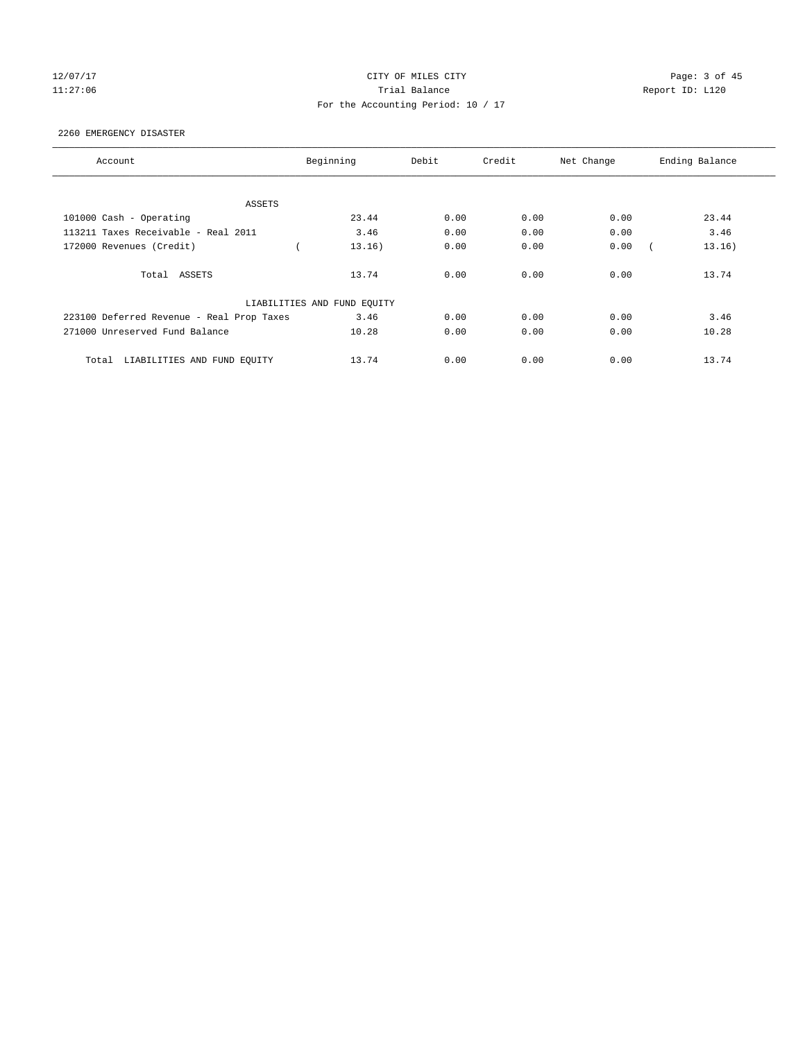# 12/07/17 Page: 3 of 45 11:27:06 **Trial Balance Trial Balance Report ID:** L120 For the Accounting Period: 10 / 17

#### 2260 EMERGENCY DISASTER

| Account                                   | Beginning<br>Debit          |      | Credit | Net Change | Ending Balance |
|-------------------------------------------|-----------------------------|------|--------|------------|----------------|
|                                           |                             |      |        |            |                |
| ASSETS                                    |                             |      |        |            |                |
| 101000 Cash - Operating                   | 23.44                       | 0.00 | 0.00   | 0.00       | 23.44          |
| 113211 Taxes Receivable - Real 2011       | 3.46                        | 0.00 | 0.00   | 0.00       | 3.46           |
| 172000 Revenues (Credit)                  | 13.16)                      | 0.00 | 0.00   | 0.00       | 13.16)         |
| Total ASSETS                              | 13.74                       | 0.00 | 0.00   | 0.00       | 13.74          |
|                                           | LIABILITIES AND FUND EQUITY |      |        |            |                |
| 223100 Deferred Revenue - Real Prop Taxes | 3.46                        | 0.00 | 0.00   | 0.00       | 3.46           |
| 271000 Unreserved Fund Balance            | 10.28                       | 0.00 | 0.00   | 0.00       | 10.28          |
| LIABILITIES AND FUND EQUITY<br>Total      | 13.74                       | 0.00 | 0.00   | 0.00       | 13.74          |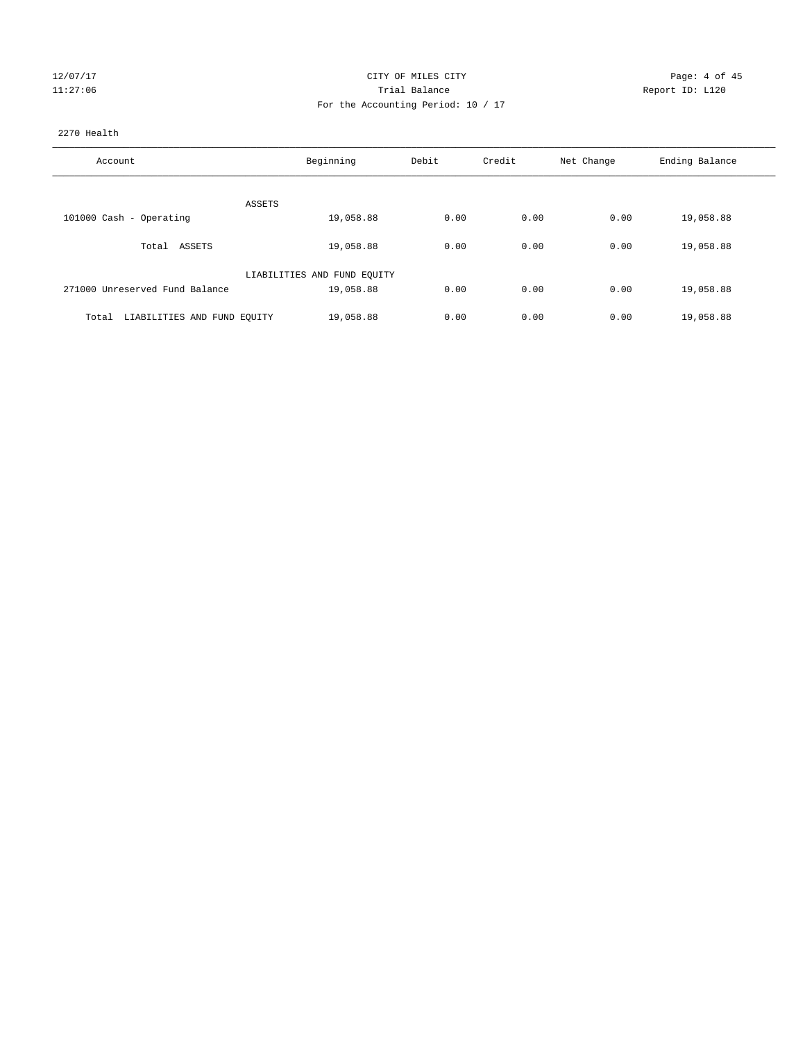| 127 | 0 |   |
|-----|---|---|
|     |   | ς |

# CITY OF MILES CITY CONTROL CONTROL CITY CONTROL PAGE: 4 of 45 127:06 Channel Balance Channel Balance Report ID: L120 For the Accounting Period: 10 / 17

## 2270 Health

| Account                              | Beginning                   | Debit | Credit | Net Change | Ending Balance |
|--------------------------------------|-----------------------------|-------|--------|------------|----------------|
|                                      |                             |       |        |            |                |
|                                      | ASSETS                      |       |        |            |                |
| 101000 Cash - Operating              | 19,058.88                   | 0.00  | 0.00   | 0.00       | 19,058.88      |
| Total ASSETS                         | 19,058.88                   | 0.00  | 0.00   | 0.00       | 19,058.88      |
|                                      | LIABILITIES AND FUND EQUITY |       |        |            |                |
| 271000 Unreserved Fund Balance       | 19,058.88                   | 0.00  | 0.00   | 0.00       | 19,058.88      |
|                                      |                             |       |        |            |                |
| LIABILITIES AND FUND EQUITY<br>Total | 19,058.88                   | 0.00  | 0.00   | 0.00       | 19,058.88      |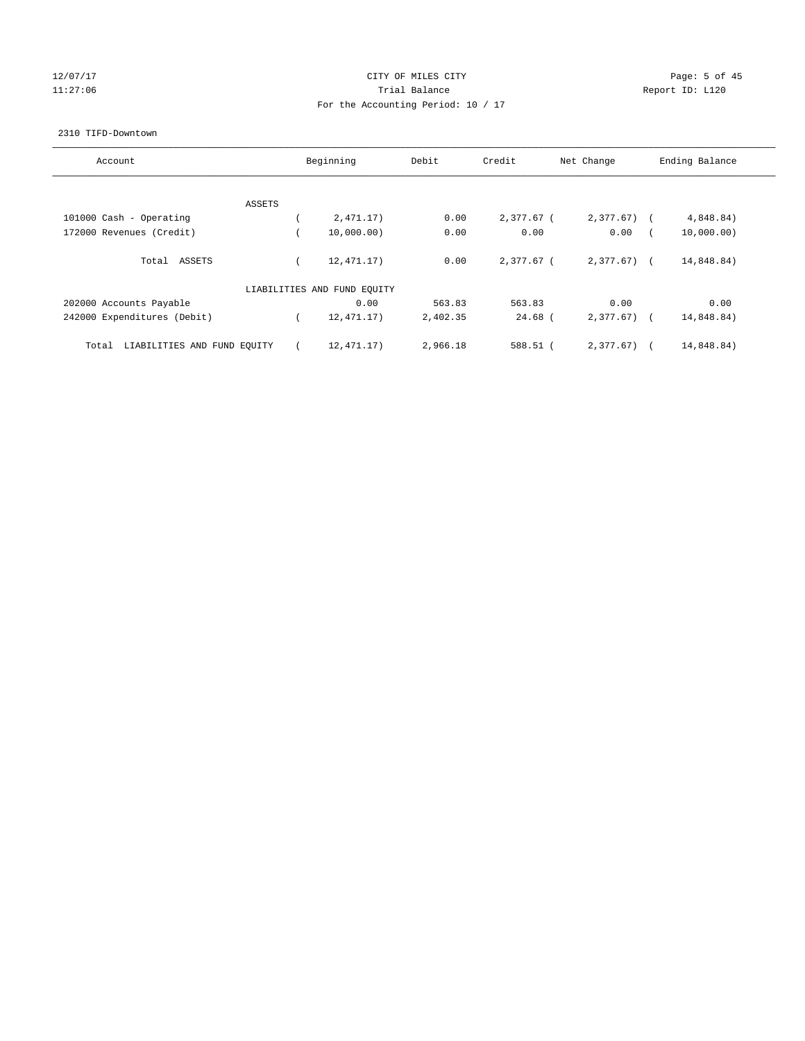# 12/07/17 Page: 5 of 45 11:27:06 **Trial Balance Trial Balance Report ID:** L120 For the Accounting Period: 10 / 17

#### 2310 TIFD-Downtown

| Account                              | Beginning                   | Debit    | Credit       | Net Change   | Ending Balance |
|--------------------------------------|-----------------------------|----------|--------------|--------------|----------------|
|                                      |                             |          |              |              |                |
| ASSETS                               |                             |          |              |              |                |
| 101000 Cash - Operating              | 2,471.17)                   | 0.00     | 2,377.67 (   | 2,377.67     | 4,848.84)      |
| 172000 Revenues (Credit)             | 10,000.00)                  | 0.00     | 0.00         | 0.00         | 10,000.00)     |
| Total ASSETS                         | 12,471.17)                  | 0.00     | $2.377.67$ ( | $2,377.67$ ( | 14,848.84)     |
|                                      | LIABILITIES AND FUND EQUITY |          |              |              |                |
| 202000 Accounts Payable              | 0.00                        | 563.83   | 563.83       | 0.00         | 0.00           |
| 242000 Expenditures (Debit)          | 12, 471. 17)                | 2,402.35 | $24.68$ (    | $2,377.67$ ( | 14,848.84)     |
| LIABILITIES AND FUND EQUITY<br>Total | 12,471.17)                  | 2,966.18 | 588.51 (     | 2.377.67     | 14,848.84)     |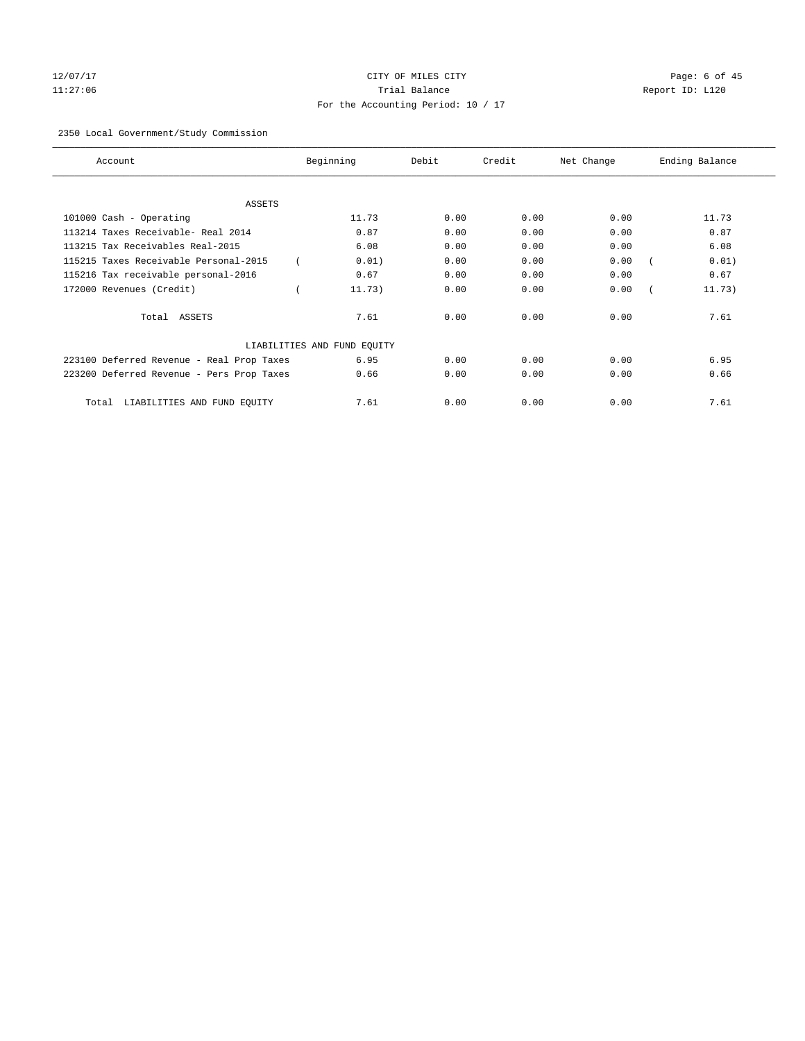# 12/07/17 Page: 6 of 45 11:27:06 Trial Balance Report ID: L120 For the Accounting Period: 10 / 17

# 2350 Local Government/Study Commission

| Account.                                  | Beginning                   | Debit | Credit | Net Change | Ending Balance |
|-------------------------------------------|-----------------------------|-------|--------|------------|----------------|
| <b>ASSETS</b>                             |                             |       |        |            |                |
| 101000 Cash - Operating                   | 11.73                       | 0.00  | 0.00   | 0.00       | 11.73          |
| 113214 Taxes Receivable- Real 2014        | 0.87                        | 0.00  | 0.00   | 0.00       | 0.87           |
| 113215 Tax Receivables Real-2015          | 6.08                        | 0.00  | 0.00   | 0.00       | 6.08           |
| 115215 Taxes Receivable Personal-2015     | 0.01)                       | 0.00  | 0.00   | 0.00       | 0.01)          |
| 115216 Tax receivable personal-2016       | 0.67                        | 0.00  | 0.00   | 0.00       | 0.67           |
| 172000 Revenues (Credit)                  | 11.73)                      | 0.00  | 0.00   | 0.00       | 11.73)         |
| Total ASSETS                              | 7.61                        | 0.00  | 0.00   | 0.00       | 7.61           |
|                                           | LIABILITIES AND FUND EQUITY |       |        |            |                |
| 223100 Deferred Revenue - Real Prop Taxes | 6.95                        | 0.00  | 0.00   | 0.00       | 6.95           |
| 223200 Deferred Revenue - Pers Prop Taxes | 0.66                        | 0.00  | 0.00   | 0.00       | 0.66           |
| LIABILITIES AND FUND EQUITY<br>Total      | 7.61                        | 0.00  | 0.00   | 0.00       | 7.61           |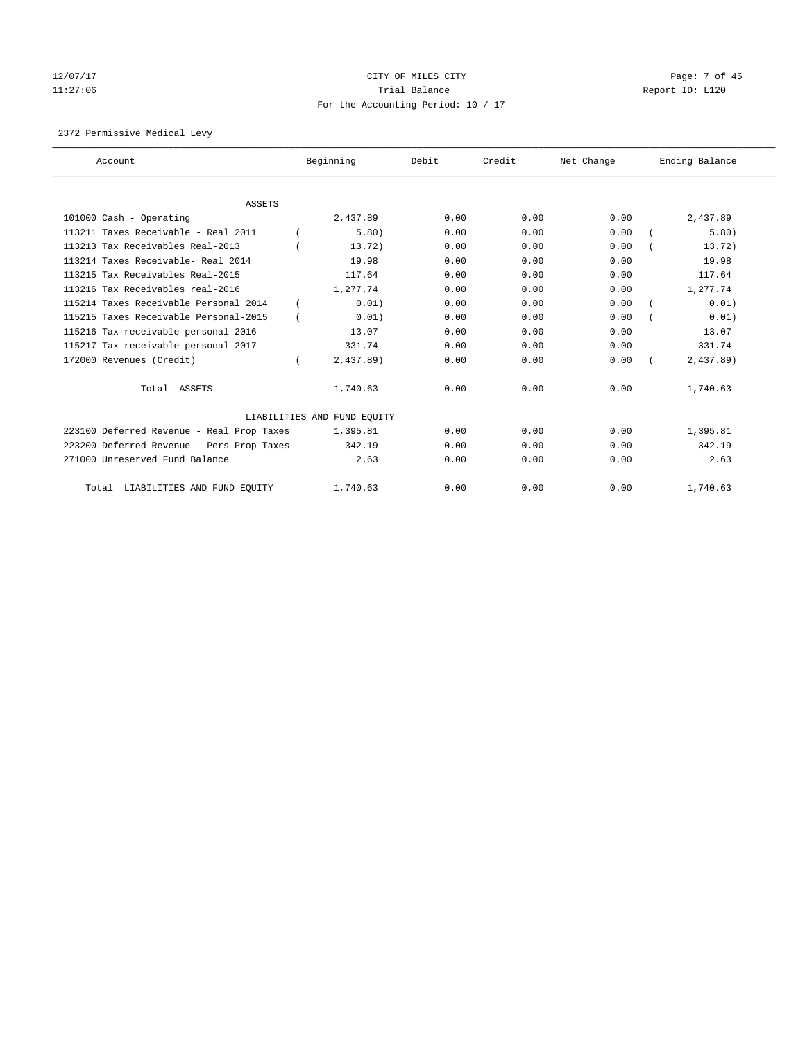# 12/07/17 Page: 7 of 45 11:27:06 **Trial Balance Trial Balance Report ID:** L120 For the Accounting Period: 10 / 17

2372 Permissive Medical Levy

| Account                                   | Beginning                   | Debit | Credit | Net Change | Ending Balance |
|-------------------------------------------|-----------------------------|-------|--------|------------|----------------|
|                                           |                             |       |        |            |                |
| <b>ASSETS</b>                             |                             |       |        |            |                |
| 101000 Cash - Operating                   | 2,437.89                    | 0.00  | 0.00   | 0.00       | 2,437.89       |
| 113211 Taxes Receivable - Real 2011       | 5.80)                       | 0.00  | 0.00   | 0.00       | 5.80)          |
| 113213 Tax Receivables Real-2013          | 13.72)                      | 0.00  | 0.00   | 0.00       | 13.72)         |
| 113214 Taxes Receivable- Real 2014        | 19.98                       | 0.00  | 0.00   | 0.00       | 19.98          |
| 113215 Tax Receivables Real-2015          | 117.64                      | 0.00  | 0.00   | 0.00       | 117.64         |
| 113216 Tax Receivables real-2016          | 1,277.74                    | 0.00  | 0.00   | 0.00       | 1,277.74       |
| 115214 Taxes Receivable Personal 2014     | 0.01)                       | 0.00  | 0.00   | 0.00       | 0.01)          |
| 115215 Taxes Receivable Personal-2015     | 0.01)                       | 0.00  | 0.00   | 0.00       | 0.01)          |
| 115216 Tax receivable personal-2016       | 13.07                       | 0.00  | 0.00   | 0.00       | 13.07          |
| 115217 Tax receivable personal-2017       | 331.74                      | 0.00  | 0.00   | 0.00       | 331.74         |
| 172000 Revenues (Credit)                  | $2,437.89$ )                | 0.00  | 0.00   | 0.00       | $2,437.89$ )   |
| Total ASSETS                              | 1,740.63                    | 0.00  | 0.00   | 0.00       | 1,740.63       |
|                                           | LIABILITIES AND FUND EQUITY |       |        |            |                |
| 223100 Deferred Revenue - Real Prop Taxes | 1,395.81                    | 0.00  | 0.00   | 0.00       | 1,395.81       |
| 223200 Deferred Revenue - Pers Prop Taxes | 342.19                      | 0.00  | 0.00   | 0.00       | 342.19         |
| 271000 Unreserved Fund Balance            | 2.63                        | 0.00  | 0.00   | 0.00       | 2.63           |
| Total LIABILITIES AND FUND EQUITY         | 1,740.63                    | 0.00  | 0.00   | 0.00       | 1,740.63       |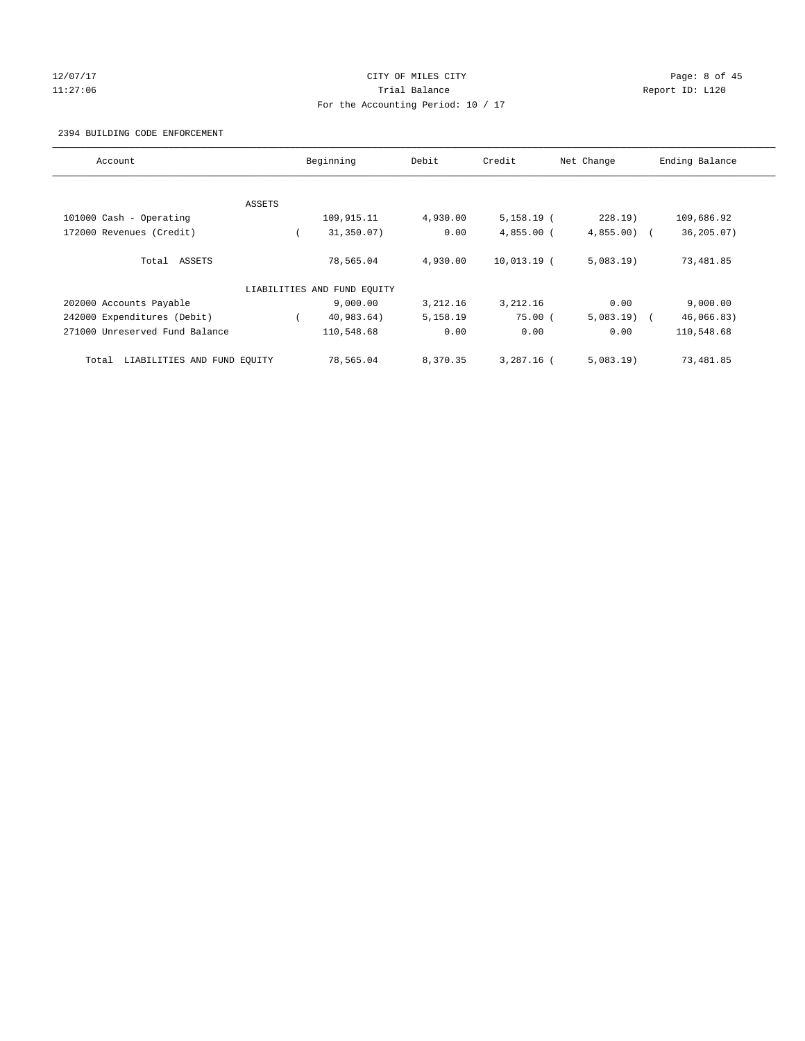# 12/07/17 CITY OF MILES CITY Page: 8 of 45 11:27:06 Trial Balance Report ID: L120 For the Accounting Period: 10 / 17

#### 2394 BUILDING CODE ENFORCEMENT

| Account                              |        | Beginning                   | Debit    | Credit       | Net Change   | Ending Balance |
|--------------------------------------|--------|-----------------------------|----------|--------------|--------------|----------------|
|                                      |        |                             |          |              |              |                |
|                                      | ASSETS |                             |          |              |              |                |
| 101000 Cash - Operating              |        | 109,915.11                  | 4,930.00 | $5,158.19$ ( | 228.19       | 109,686.92     |
| 172000 Revenues (Credit)             |        | 31,350.07)                  | 0.00     | $4,855.00$ ( | $4,855.00$ ( | 36,205.07)     |
| Total ASSETS                         |        | 78,565.04                   | 4,930.00 | 10,013.19 (  | 5,083.19     | 73,481.85      |
|                                      |        | LIABILITIES AND FUND EQUITY |          |              |              |                |
| 202000 Accounts Payable              |        | 9,000.00                    | 3,212.16 | 3,212.16     | 0.00         | 9,000.00       |
| 242000 Expenditures (Debit)          |        | 40,983.64)                  | 5,158.19 | 75.00(       | $5,083.19$ ( | 46,066.83)     |
| 271000 Unreserved Fund Balance       |        | 110,548.68                  | 0.00     | 0.00         | 0.00         | 110,548.68     |
| LIABILITIES AND FUND EQUITY<br>Total |        | 78,565.04                   | 8,370.35 | $3.287.16$ ( | 5,083.19     | 73,481.85      |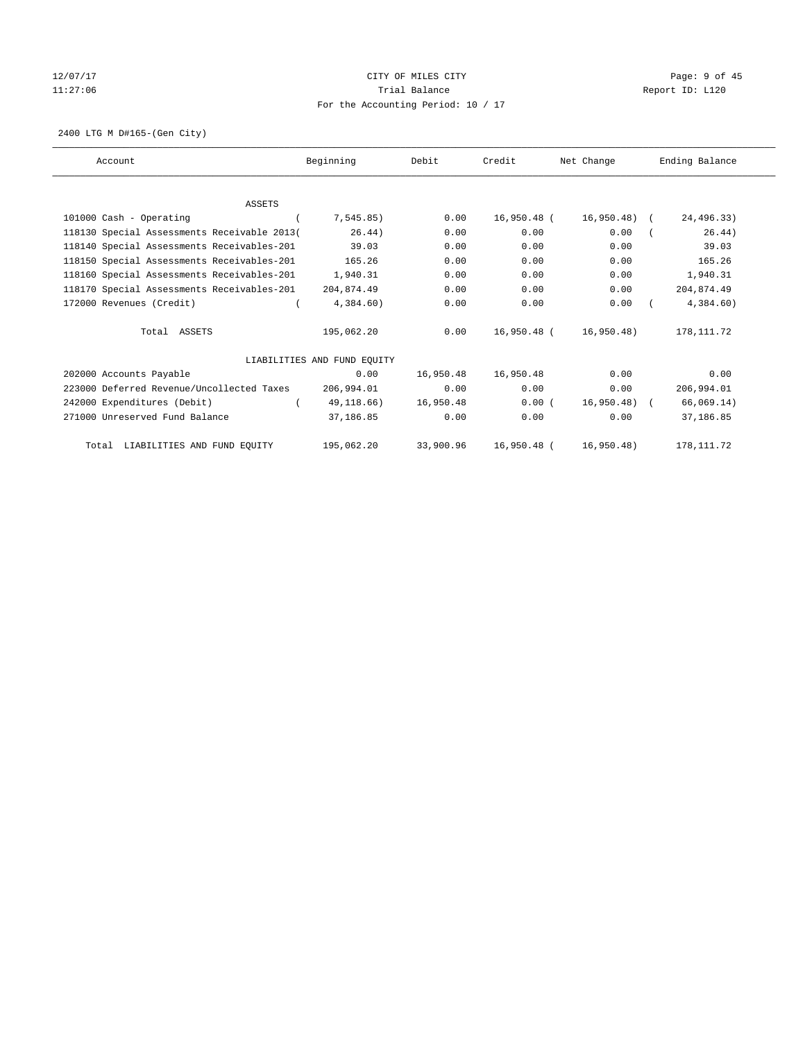# 12/07/17 CITY OF MILES CITY Page: 9 of 45 11:27:06 Trial Balance Report ID: L120 For the Accounting Period: 10 / 17

2400 LTG M D#165-(Gen City)

| Account                                     | Beginning                   | Debit     | Credit      | Net Change    | Ending Balance |
|---------------------------------------------|-----------------------------|-----------|-------------|---------------|----------------|
|                                             |                             |           |             |               |                |
| <b>ASSETS</b>                               |                             |           |             |               |                |
| 101000 Cash - Operating                     | 7,545.85)                   | 0.00      | 16,950.48 ( | 16,950.48) (  | 24,496.33)     |
| 118130 Special Assessments Receivable 2013( | 26.44)                      | 0.00      | 0.00        | 0.00          | 26.44)         |
| 118140 Special Assessments Receivables-201  | 39.03                       | 0.00      | 0.00        | 0.00          | 39.03          |
| 118150 Special Assessments Receivables-201  | 165.26                      | 0.00      | 0.00        | 0.00          | 165.26         |
| 118160 Special Assessments Receivables-201  | 1,940.31                    | 0.00      | 0.00        | 0.00          | 1,940.31       |
| 118170 Special Assessments Receivables-201  | 204,874.49                  | 0.00      | 0.00        | 0.00          | 204,874.49     |
| 172000 Revenues (Credit)                    | 4,384.60)                   | 0.00      | 0.00        | 0.00          | 4,384.60)      |
| Total ASSETS                                | 195,062.20                  | 0.00      | 16,950.48 ( | 16,950.48)    | 178, 111.72    |
|                                             | LIABILITIES AND FUND EQUITY |           |             |               |                |
| 202000 Accounts Payable                     | 0.00                        | 16,950.48 | 16,950.48   | 0.00          | 0.00           |
| 223000 Deferred Revenue/Uncollected Taxes   | 206,994.01                  | 0.00      | 0.00        | 0.00          | 206,994.01     |
| 242000 Expenditures (Debit)                 | 49,118.66)                  | 16,950.48 | 0.00(       | $16,950.48$ ( | 66,069.14)     |
| 271000 Unreserved Fund Balance              | 37,186.85                   | 0.00      | 0.00        | 0.00          | 37,186.85      |
| LIABILITIES AND FUND EQUITY<br>Total        | 195,062.20                  | 33,900.96 | 16,950.48 ( | 16,950.48)    | 178, 111.72    |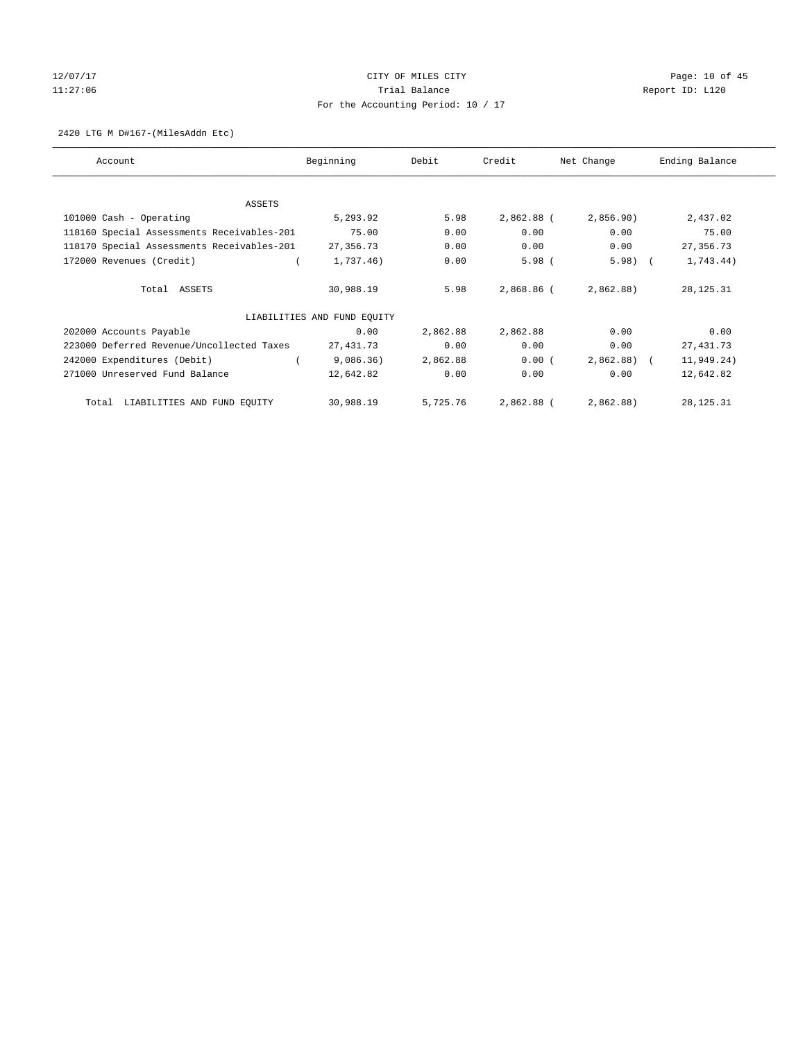# 12/07/17 Page: 10 of 45 11:27:06 **Trial Balance Trial Balance Report ID:** L120 For the Accounting Period: 10 / 17

#### 2420 LTG M D#167-(MilesAddn Etc)

| Account                                    | Beginning                   | Debit    | Credit     | Net Change | Ending Balance |
|--------------------------------------------|-----------------------------|----------|------------|------------|----------------|
|                                            |                             |          |            |            |                |
| ASSETS<br>101000 Cash - Operating          | 5,293.92                    | 5.98     | 2,862.88 ( | 2,856.90)  | 2,437.02       |
| 118160 Special Assessments Receivables-201 | 75.00                       | 0.00     | 0.00       | 0.00       | 75.00          |
| 118170 Special Assessments Receivables-201 | 27,356.73                   | 0.00     | 0.00       | 0.00       | 27, 356.73     |
| 172000 Revenues (Credit)                   | 1,737.46)                   | 0.00     | $5.98$ (   | 5.98)      | 1,743.44)      |
| Total ASSETS                               | 30,988.19                   | 5.98     | 2,868.86 ( | 2,862.88)  | 28, 125. 31    |
|                                            | LIABILITIES AND FUND EQUITY |          |            |            |                |
| 202000 Accounts Payable                    | 0.00                        | 2,862.88 | 2,862.88   | 0.00       | 0.00           |
| 223000 Deferred Revenue/Uncollected Taxes  | 27,431.73                   | 0.00     | 0.00       | 0.00       | 27, 431.73     |
| 242000 Expenditures (Debit)                | 9,086.36)                   | 2,862.88 | 0.00(      | 2,862.88)  | 11,949.24)     |
| 271000 Unreserved Fund Balance             | 12,642.82                   | 0.00     | 0.00       | 0.00       | 12,642.82      |
| LIABILITIES AND FUND EQUITY<br>Total       | 30,988.19                   | 5,725.76 | 2,862.88 ( | 2,862.88)  | 28, 125. 31    |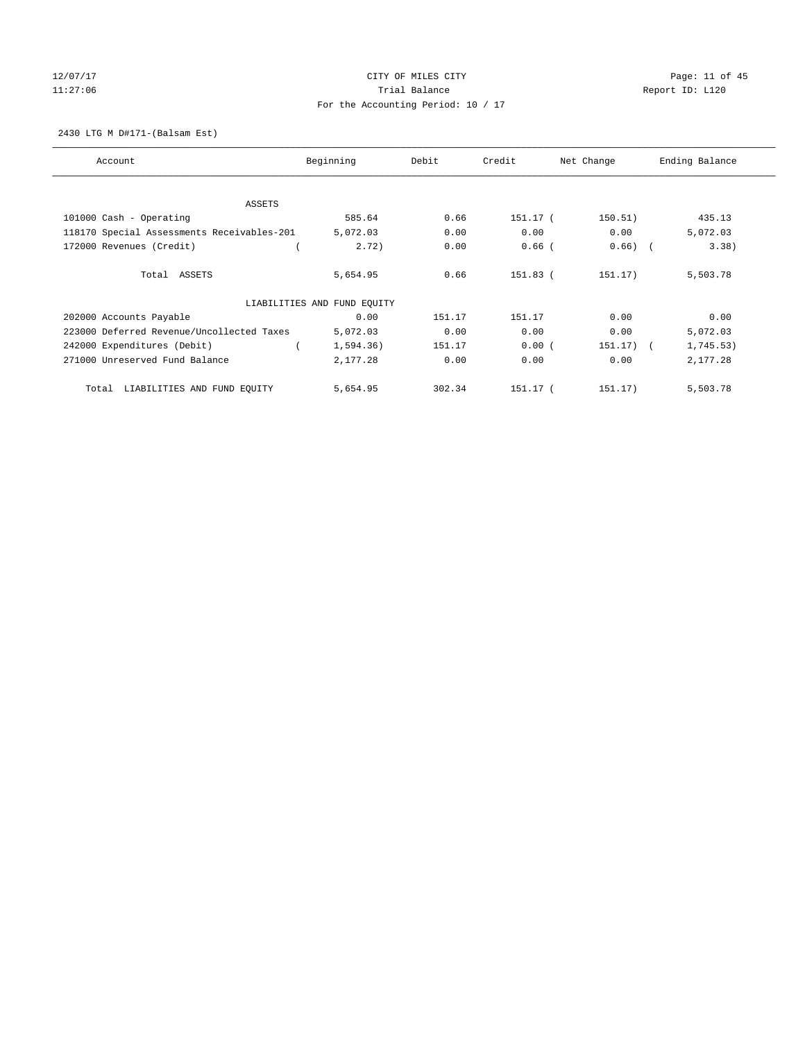# 12/07/17 Page: 11 of 45 11:27:06 **Trial Balance Trial Balance Report ID:** L120 For the Accounting Period: 10 / 17

2430 LTG M D#171-(Balsam Est)

| Account                                    | Beginning                   | Debit  | Credit   | Net Change  | Ending Balance |
|--------------------------------------------|-----------------------------|--------|----------|-------------|----------------|
|                                            |                             |        |          |             |                |
| <b>ASSETS</b>                              |                             |        |          |             |                |
| 101000 Cash - Operating                    | 585.64                      | 0.66   | 151.17 ( | 150.51)     | 435.13         |
| 118170 Special Assessments Receivables-201 | 5,072.03                    | 0.00   | 0.00     | 0.00        | 5,072.03       |
| 172000 Revenues (Credit)                   | 2.72)                       | 0.00   | $0.66$ ( | $0.66)$ (   | 3.38)          |
| Total ASSETS                               | 5,654.95                    | 0.66   | 151.83 ( | 151.17)     | 5,503.78       |
|                                            | LIABILITIES AND FUND EQUITY |        |          |             |                |
| 202000 Accounts Payable                    | 0.00                        | 151.17 | 151.17   | 0.00        | 0.00           |
| 223000 Deferred Revenue/Uncollected Taxes  | 5,072.03                    | 0.00   | 0.00     | 0.00        | 5,072.03       |
| 242000 Expenditures (Debit)                | 1,594.36)                   | 151.17 | 0.00(    | $151.17)$ ( | 1,745.53)      |
| 271000 Unreserved Fund Balance             | 2,177.28                    | 0.00   | 0.00     | 0.00        | 2,177.28       |
| LIABILITIES AND FUND EQUITY<br>Total       | 5,654.95                    | 302.34 | 151.17 ( | 151.17)     | 5,503.78       |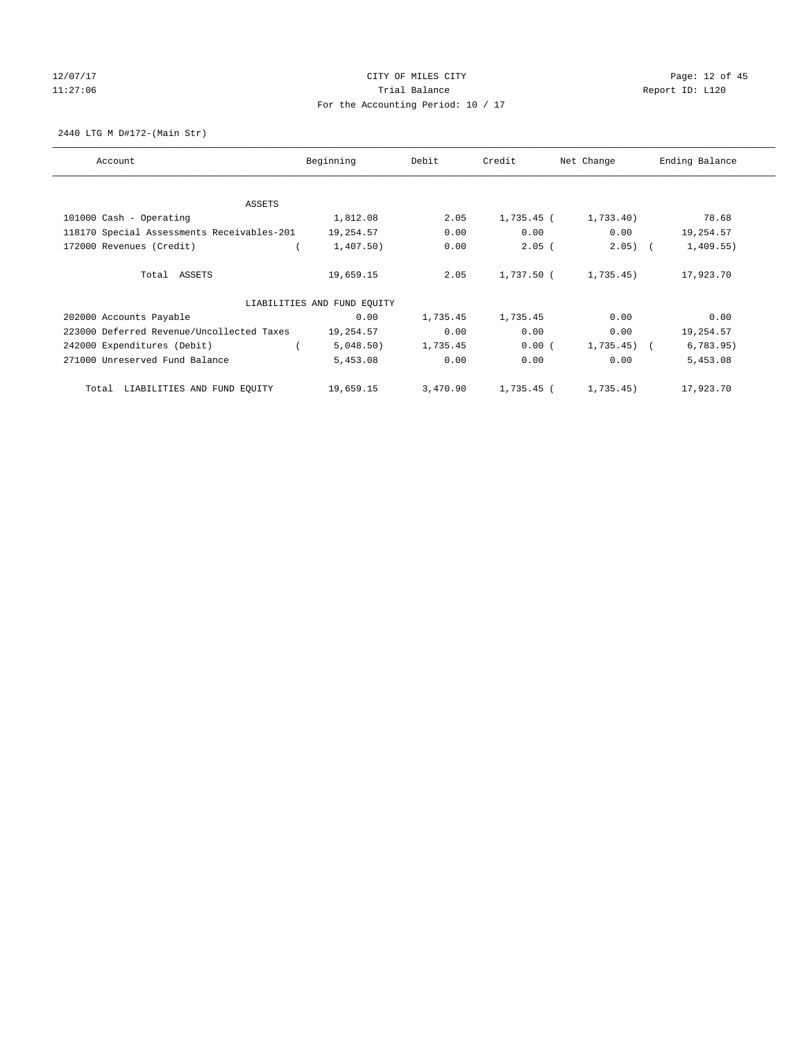# 12/07/17 Page: 12 of 45 11:27:06 **Trial Balance Trial Balance Report ID:** L120 For the Accounting Period: 10 / 17

2440 LTG M D#172-(Main Str)

| Account                                    | Beginning                   | Debit    | Credit     | Net Change     | Ending Balance |
|--------------------------------------------|-----------------------------|----------|------------|----------------|----------------|
|                                            |                             |          |            |                |                |
| ASSETS                                     |                             |          |            |                |                |
| 101000 Cash - Operating                    | 1,812.08                    | 2.05     | 1,735.45 ( | 1,733.40       | 78.68          |
| 118170 Special Assessments Receivables-201 | 19,254.57                   | 0.00     | 0.00       | 0.00           | 19,254.57      |
| 172000 Revenues (Credit)                   | 1,407.50)                   | 0.00     | $2.05$ (   | $2.05)$ (      | 1,409.55)      |
| Total ASSETS                               | 19,659.15                   | 2.05     | 1,737.50 ( | 1,735.45)      | 17,923.70      |
|                                            | LIABILITIES AND FUND EQUITY |          |            |                |                |
| 202000 Accounts Payable                    | 0.00                        | 1,735.45 | 1,735.45   | 0.00           | 0.00           |
| 223000 Deferred Revenue/Uncollected Taxes  | 19,254.57                   | 0.00     | 0.00       | 0.00           | 19,254.57      |
| 242000 Expenditures (Debit)                | 5,048.50)                   | 1,735.45 | 0.00(      | $1,735.45$ ) ( | 6,783.95)      |
| 271000 Unreserved Fund Balance             | 5,453.08                    | 0.00     | 0.00       | 0.00           | 5,453.08       |
| LIABILITIES AND FUND EQUITY<br>Total       | 19,659.15                   | 3,470.90 | 1,735.45 ( | 1,735.45)      | 17,923.70      |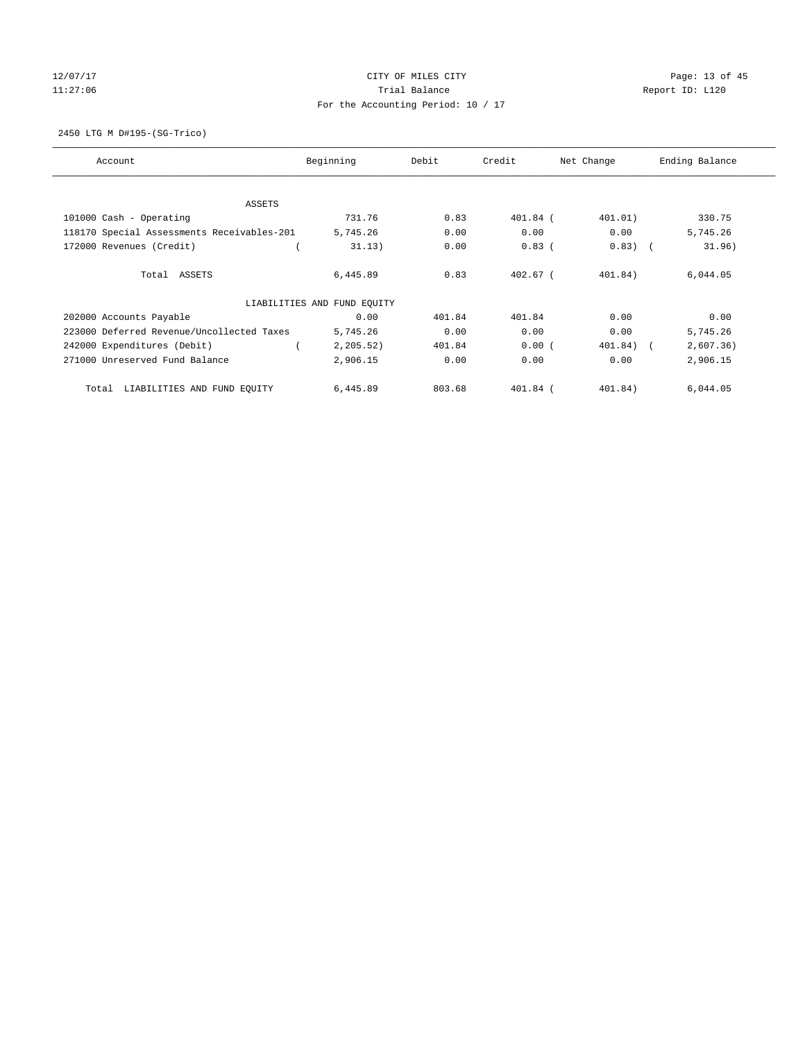# 12/07/17 Page: 13 of 45 11:27:06 **Trial Balance Trial Balance Report ID:** L120 For the Accounting Period: 10 / 17

2450 LTG M D#195-(SG-Trico)

| Account                                    | Beginning                   | Debit  | Credit     | Net Change  | Ending Balance |
|--------------------------------------------|-----------------------------|--------|------------|-------------|----------------|
|                                            |                             |        |            |             |                |
| <b>ASSETS</b>                              |                             |        |            |             |                |
| 101000 Cash - Operating                    | 731.76                      | 0.83   | $401.84$ ( | 401.01)     | 330.75         |
| 118170 Special Assessments Receivables-201 | 5,745.26                    | 0.00   | 0.00       | 0.00        | 5,745.26       |
| 172000 Revenues (Credit)                   | 31.13)                      | 0.00   | $0.83$ (   | $0.83)$ (   | 31.96)         |
| Total ASSETS                               | 6,445.89                    | 0.83   | $402.67$ ( | 401.84)     | 6,044.05       |
|                                            | LIABILITIES AND FUND EQUITY |        |            |             |                |
| 202000 Accounts Payable                    | 0.00                        | 401.84 | 401.84     | 0.00        | 0.00           |
| 223000 Deferred Revenue/Uncollected Taxes  | 5,745.26                    | 0.00   | 0.00       | 0.00        | 5,745.26       |
| 242000 Expenditures (Debit)                | 2, 205.52)                  | 401.84 | 0.00(      | $401.84)$ ( | 2,607.36)      |
| 271000 Unreserved Fund Balance             | 2,906.15                    | 0.00   | 0.00       | 0.00        | 2,906.15       |
| LIABILITIES AND FUND EQUITY<br>Total       | 6,445.89                    | 803.68 | 401.84 (   | 401.84)     | 6,044.05       |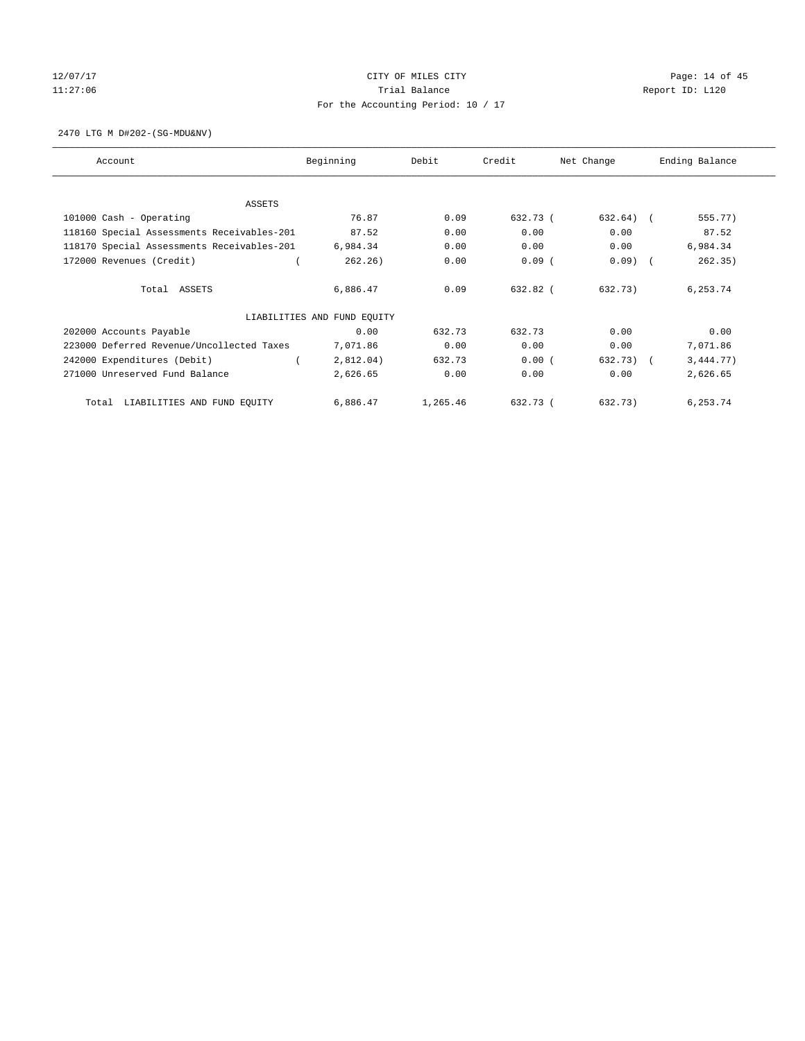# 12/07/17 Page: 14 of 45 11:27:06 **Trial Balance Trial Balance Report ID:** L120 For the Accounting Period: 10 / 17

2470 LTG M D#202-(SG-MDU&NV)

| Account                                    | Beginning                   | Debit    | Credit   | Net Change  | Ending Balance |
|--------------------------------------------|-----------------------------|----------|----------|-------------|----------------|
| ASSETS                                     |                             |          |          |             |                |
| 101000 Cash - Operating                    | 76.87                       | 0.09     | 632.73 ( | $632.64)$ ( | 555.77)        |
| 118160 Special Assessments Receivables-201 | 87.52                       | 0.00     | 0.00     | 0.00        | 87.52          |
| 118170 Special Assessments Receivables-201 | 6,984.34                    | 0.00     | 0.00     | 0.00        | 6,984.34       |
| 172000 Revenues (Credit)                   | 262.26)                     | 0.00     | $0.09$ ( | $0.09$ )    | 262.35)        |
| Total ASSETS                               | 6,886.47                    | 0.09     | 632.82 ( | 632.73)     | 6,253.74       |
|                                            | LIABILITIES AND FUND EQUITY |          |          |             |                |
| 202000 Accounts Payable                    | 0.00                        | 632.73   | 632.73   | 0.00        | 0.00           |
| 223000 Deferred Revenue/Uncollected Taxes  | 7,071.86                    | 0.00     | 0.00     | 0.00        | 7,071.86       |
| 242000 Expenditures (Debit)                | 2,812.04)                   | 632.73   | 0.00(    | 632.73)     | 3,444.77)      |
| 271000 Unreserved Fund Balance             | 2,626.65                    | 0.00     | 0.00     | 0.00        | 2,626.65       |
| LIABILITIES AND FUND EQUITY<br>Total       | 6,886.47                    | 1,265.46 | 632.73 ( | 632.73)     | 6,253.74       |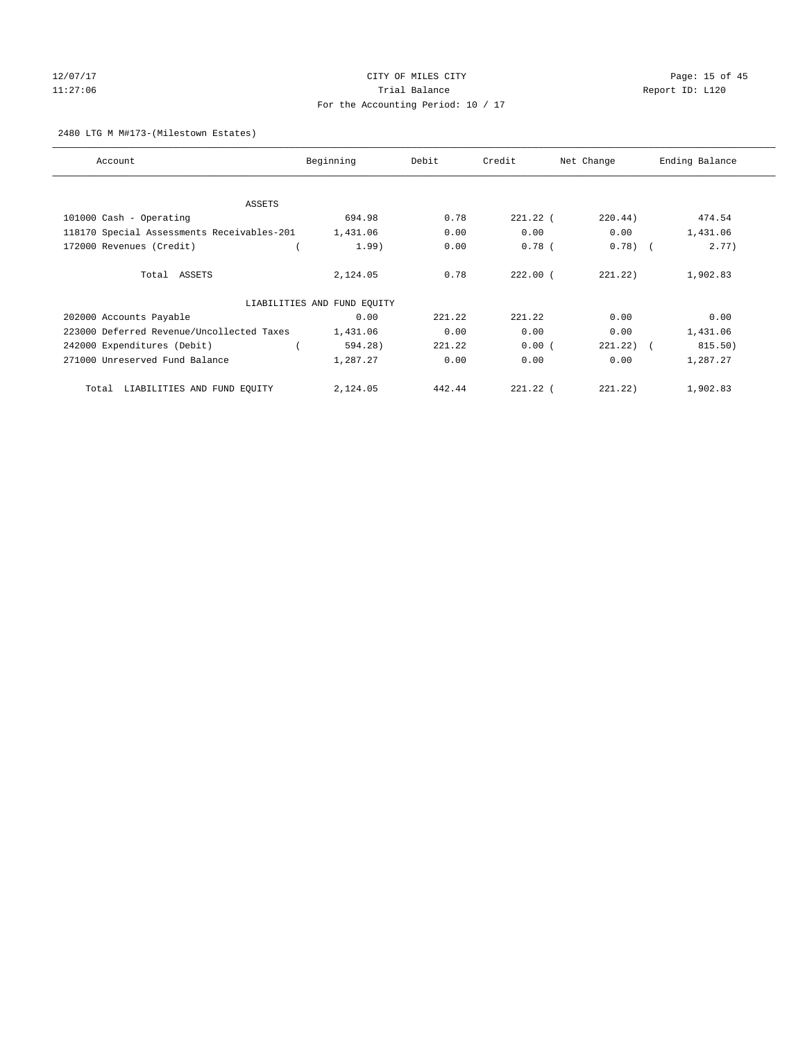# 12/07/17 Page: 15 of 45 11:27:06 **Trial Balance Trial Balance Report ID:** L120 For the Accounting Period: 10 / 17

### 2480 LTG M M#173-(Milestown Estates)

| Account                                    | Beginning                   | Debit  | Credit     | Net Change | Ending Balance |
|--------------------------------------------|-----------------------------|--------|------------|------------|----------------|
|                                            |                             |        |            |            |                |
| <b>ASSETS</b>                              |                             |        |            |            |                |
| 101000 Cash - Operating                    | 694.98                      | 0.78   | $221.22$ ( | 220.44)    | 474.54         |
| 118170 Special Assessments Receivables-201 | 1,431.06                    | 0.00   | 0.00       | 0.00       | 1,431.06       |
| 172000 Revenues (Credit)                   | 1.99)                       | 0.00   | $0.78$ (   | $0.78$ (   | 2.77)          |
| Total ASSETS                               | 2,124.05                    | 0.78   | $222.00$ ( | 221.22)    | 1,902.83       |
|                                            | LIABILITIES AND FUND EQUITY |        |            |            |                |
| 202000 Accounts Payable                    | 0.00                        | 221.22 | 221.22     | 0.00       | 0.00           |
| 223000 Deferred Revenue/Uncollected Taxes  | 1,431.06                    | 0.00   | 0.00       | 0.00       | 1,431.06       |
| 242000 Expenditures (Debit)                | 594.28)                     | 221.22 | 0.00(      | 221.22)    | 815.50)        |
| 271000 Unreserved Fund Balance             | 1,287.27                    | 0.00   | 0.00       | 0.00       | 1,287.27       |
| LIABILITIES AND FUND EQUITY<br>Total       | 2,124.05                    | 442.44 | $221.22$ ( | 221.22     | 1,902.83       |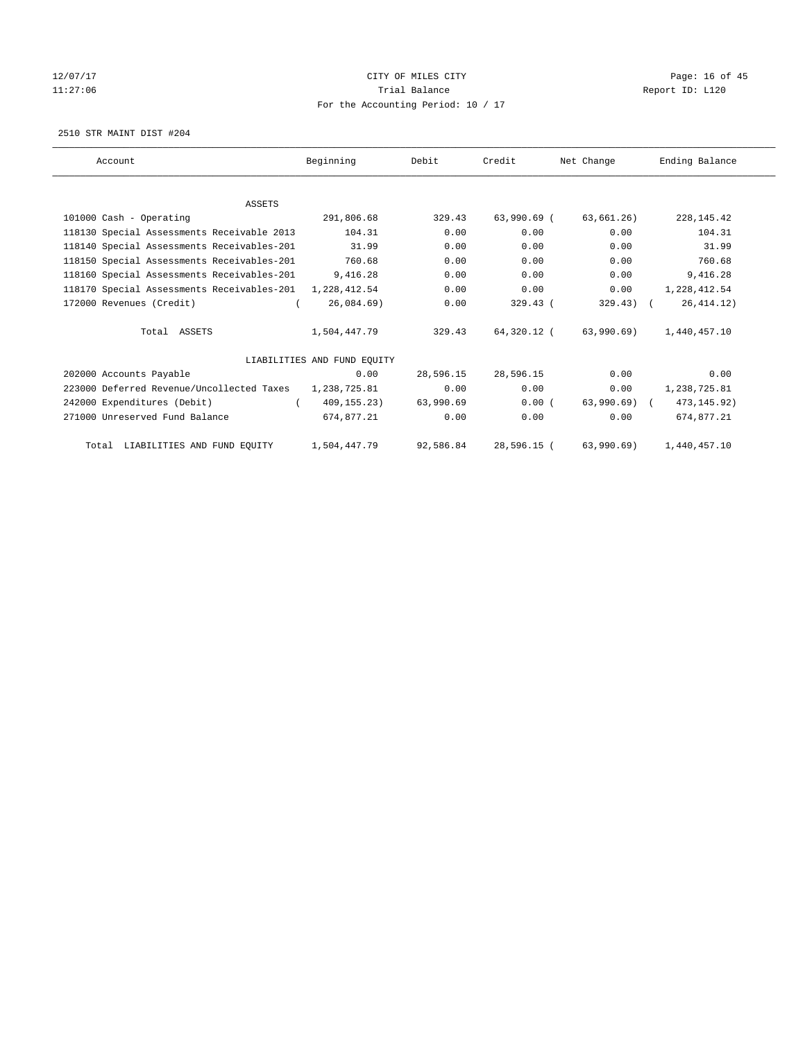# 12/07/17 Page: 16 of 45 11:27:06 **Trial Balance Trial Balance Report ID:** L120 For the Accounting Period: 10 / 17

2510 STR MAINT DIST #204

| Account                                                   | Beginning                   | Debit     | Credit      | Net Change   | Ending Balance |
|-----------------------------------------------------------|-----------------------------|-----------|-------------|--------------|----------------|
|                                                           |                             |           |             |              |                |
| <b>ASSETS</b>                                             |                             |           |             |              |                |
| 101000 Cash - Operating                                   | 291,806.68                  | 329.43    | 63,990.69 ( | 63,661.26)   | 228, 145.42    |
| 118130 Special Assessments Receivable 2013                | 104.31                      | 0.00      | 0.00        | 0.00         | 104.31         |
| 118140 Special Assessments Receivables-201                | 31.99                       | 0.00      | 0.00        | 0.00         | 31.99          |
| 118150 Special Assessments Receivables-201                | 760.68                      | 0.00      | 0.00        | 0.00         | 760.68         |
| 118160 Special Assessments Receivables-201                | 9,416.28                    | 0.00      | 0.00        | 0.00         | 9,416.28       |
| 118170 Special Assessments Receivables-201 1, 228, 412.54 |                             | 0.00      | 0.00        | 0.00         | 1,228,412.54   |
| 172000 Revenues (Credit)                                  | 26,084.69                   | 0.00      | $329.43$ (  | $329.43$ ) ( | 26, 414.12)    |
| Total ASSETS                                              | 1,504,447.79                | 329.43    | 64,320.12 ( | 63,990.69)   | 1,440,457.10   |
|                                                           | LIABILITIES AND FUND EQUITY |           |             |              |                |
| 202000 Accounts Payable                                   | 0.00                        | 28,596.15 | 28,596.15   | 0.00         | 0.00           |
| 223000 Deferred Revenue/Uncollected Taxes                 | 1,238,725.81                | 0.00      | 0.00        | 0.00         | 1,238,725.81   |
| 242000 Expenditures (Debit)                               | 409,155.23)                 | 63,990.69 | 0.00(       | 63,990.69) ( | 473, 145. 92)  |
| 271000 Unreserved Fund Balance                            | 674,877.21                  | 0.00      | 0.00        | 0.00         | 674,877.21     |
| LIABILITIES AND FUND EQUITY<br>Total                      | 1,504,447.79                | 92,586.84 | 28,596.15 ( | 63,990.69)   | 1,440,457.10   |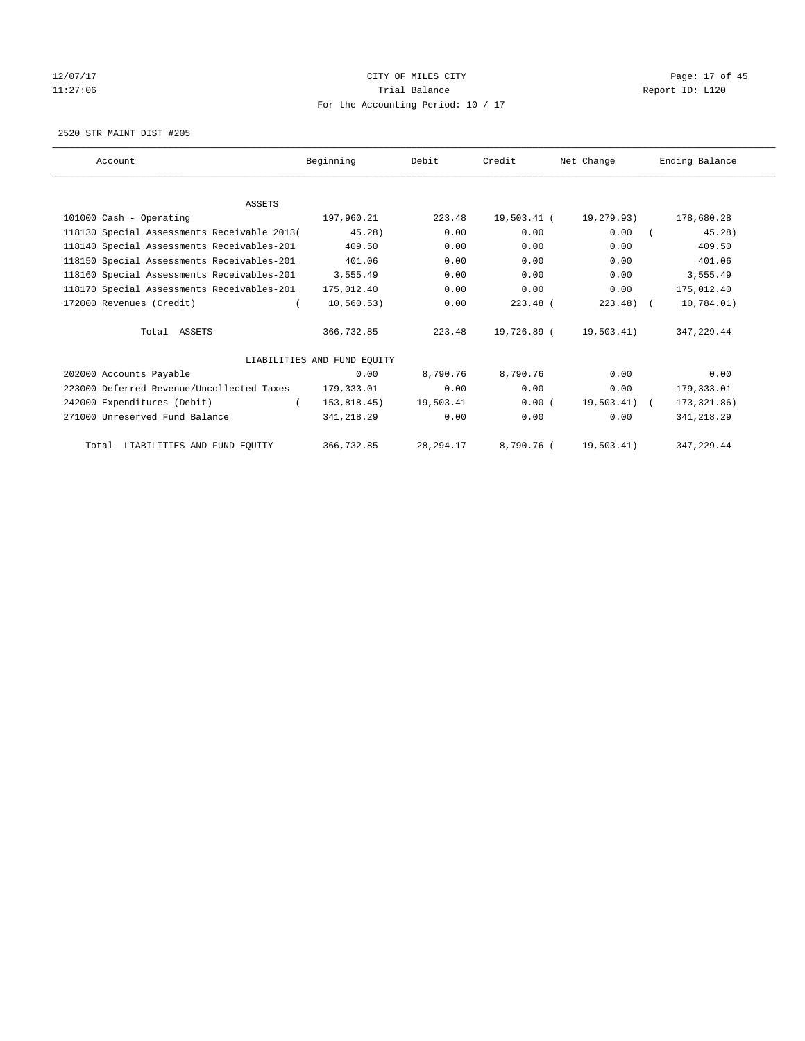# 12/07/17 Page: 17 of 45 11:27:06 **Trial Balance Trial Balance Report ID:** L120 For the Accounting Period: 10 / 17

2520 STR MAINT DIST #205

| Account                                     | Beginning                   | Debit       | Credit      | Net Change    | Ending Balance |
|---------------------------------------------|-----------------------------|-------------|-------------|---------------|----------------|
|                                             |                             |             |             |               |                |
| <b>ASSETS</b>                               |                             |             |             |               |                |
| 101000 Cash - Operating                     | 197,960.21                  | 223.48      | 19,503.41 ( | 19,279.93)    | 178,680.28     |
| 118130 Special Assessments Receivable 2013( | 45.28)                      | 0.00        | 0.00        | 0.00          | 45.28)         |
| 118140 Special Assessments Receivables-201  | 409.50                      | 0.00        | 0.00        | 0.00          | 409.50         |
| 118150 Special Assessments Receivables-201  | 401.06                      | 0.00        | 0.00        | 0.00          | 401.06         |
| 118160 Special Assessments Receivables-201  | 3,555.49                    | 0.00        | 0.00        | 0.00          | 3,555.49       |
| 118170 Special Assessments Receivables-201  | 175,012.40                  | 0.00        | 0.00        | 0.00          | 175,012.40     |
| 172000 Revenues (Credit)                    | 10, 560.53)                 | 0.00        | $223.48$ (  | $223.48$ ) (  | 10,784.01)     |
| Total ASSETS                                | 366,732.85                  | 223.48      | 19,726.89 ( | 19,503.41)    | 347.229.44     |
|                                             | LIABILITIES AND FUND EOUITY |             |             |               |                |
| 202000 Accounts Payable                     | 0.00                        | 8,790.76    | 8,790.76    | 0.00          | 0.00           |
| 223000 Deferred Revenue/Uncollected Taxes   | 179,333.01                  | 0.00        | 0.00        | 0.00          | 179,333.01     |
| 242000 Expenditures (Debit)                 | 153,818.45)                 | 19,503.41   | 0.00(       | $19,503.41$ ( | 173, 321.86)   |
| 271000 Unreserved Fund Balance              | 341,218.29                  | 0.00        | 0.00        | 0.00          | 341,218.29     |
| Total LIABILITIES AND FUND EQUITY           | 366,732.85                  | 28, 294. 17 | 8,790.76 (  | 19,503.41)    | 347.229.44     |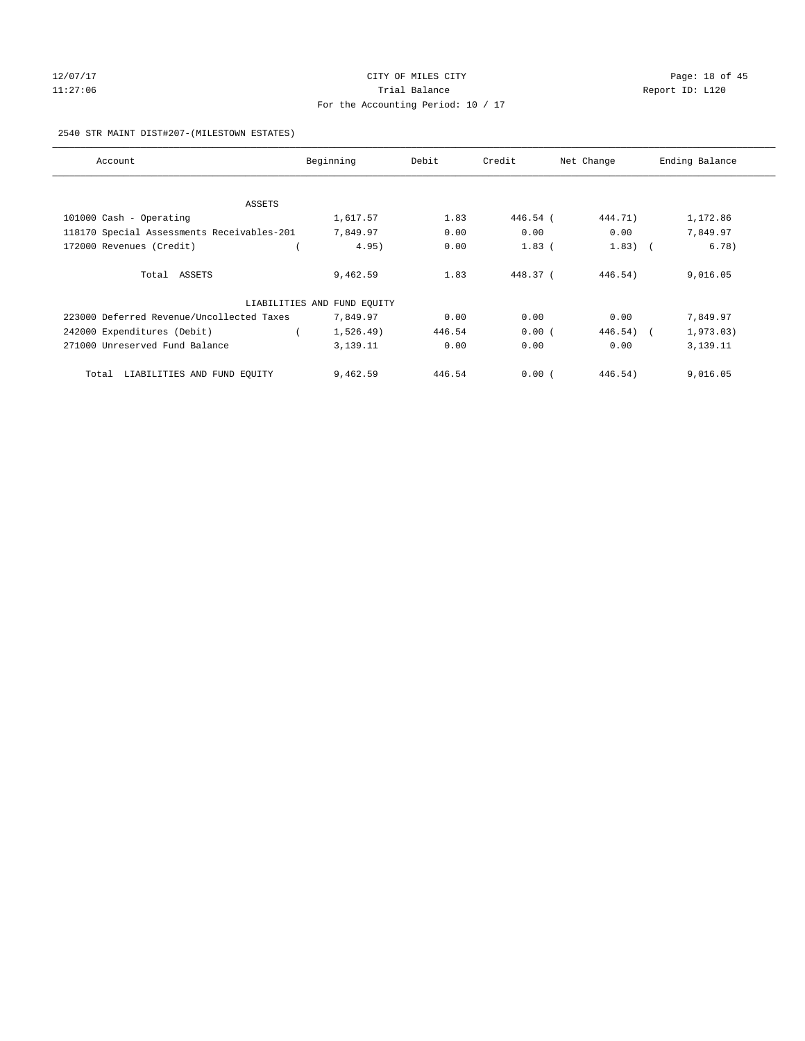# 12/07/17 Page: 18 of 45 11:27:06 **Trial Balance Trial Balance Report ID:** L120 For the Accounting Period: 10 / 17

#### 2540 STR MAINT DIST#207-(MILESTOWN ESTATES)

| Account                                    | Beginning                   | Debit  | Credit   | Net Change | Ending Balance |
|--------------------------------------------|-----------------------------|--------|----------|------------|----------------|
|                                            |                             |        |          |            |                |
| ASSETS                                     |                             |        |          |            |                |
| 101000 Cash - Operating                    | 1,617.57                    | 1.83   | 446.54 ( | 444.71)    | 1,172.86       |
| 118170 Special Assessments Receivables-201 | 7,849.97                    | 0.00   | 0.00     | 0.00       | 7,849.97       |
| 172000 Revenues (Credit)                   | 4.95)                       | 0.00   | $1.83$ ( | $1.83)$ (  | 6.78)          |
|                                            |                             |        |          |            |                |
| Total ASSETS                               | 9,462.59                    | 1.83   | 448.37 ( | 446.54)    | 9,016.05       |
|                                            | LIABILITIES AND FUND EQUITY |        |          |            |                |
| 223000 Deferred Revenue/Uncollected Taxes  | 7,849.97                    | 0.00   | 0.00     | 0.00       | 7,849.97       |
| 242000 Expenditures (Debit)                | 1,526.49)                   | 446.54 | 0.00(    | 446.54)    | 1,973.03)      |
| 271000 Unreserved Fund Balance             | 3,139.11                    | 0.00   | 0.00     | 0.00       | 3,139.11       |
|                                            |                             |        |          |            |                |
| LIABILITIES AND FUND EQUITY<br>Total       | 9,462.59                    | 446.54 | 0.00(    | 446.54)    | 9,016.05       |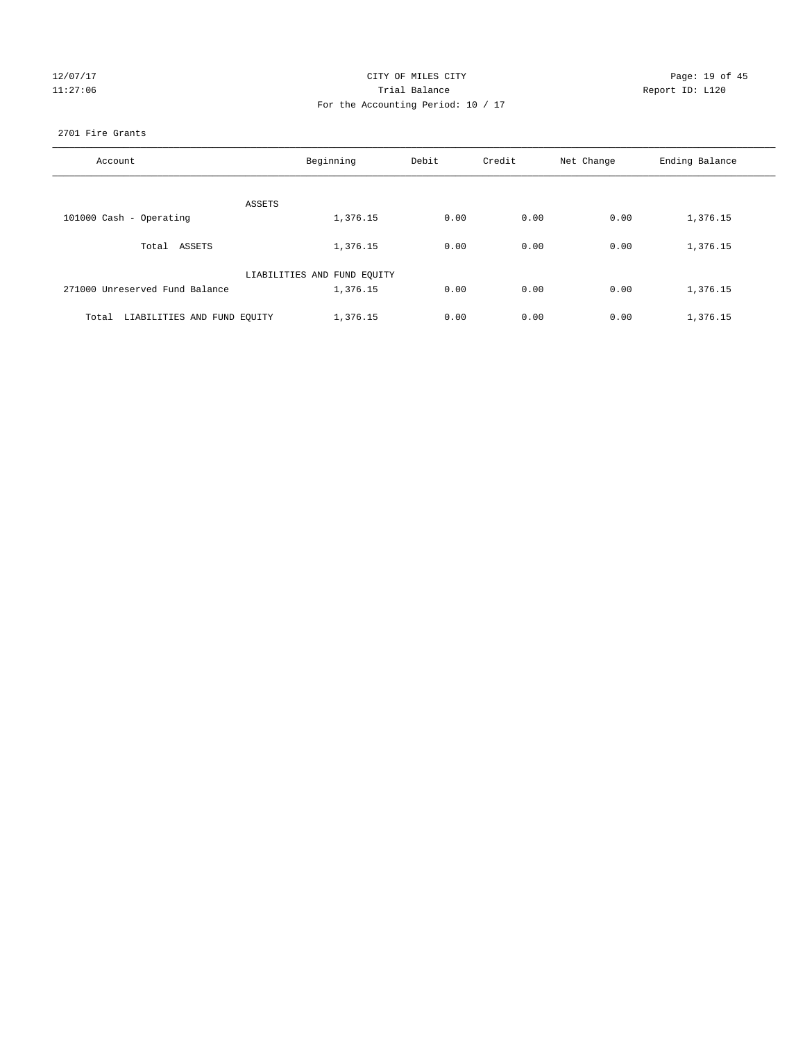| 127<br>O |   |
|----------|---|
|          | n |

# CITY OF MILES CITY CONTROL CONTROL CITY CONTROL Page: 19 of 45 127:06 Channel Balance Trial Balance Report ID: L120 For the Accounting Period: 10 / 17

#### 2701 Fire Grants

| Account                              | Beginning                   | Debit | Credit | Net Change | Ending Balance |
|--------------------------------------|-----------------------------|-------|--------|------------|----------------|
|                                      |                             |       |        |            |                |
| ASSETS                               |                             |       |        |            |                |
| 101000 Cash - Operating              | 1,376.15                    | 0.00  | 0.00   | 0.00       | 1,376.15       |
| Total ASSETS                         | 1,376.15                    | 0.00  | 0.00   | 0.00       | 1,376.15       |
|                                      | LIABILITIES AND FUND EQUITY |       |        |            |                |
| 271000 Unreserved Fund Balance       | 1,376.15                    | 0.00  | 0.00   | 0.00       | 1,376.15       |
| LIABILITIES AND FUND EQUITY<br>Total | 1,376.15                    | 0.00  | 0.00   | 0.00       | 1,376.15       |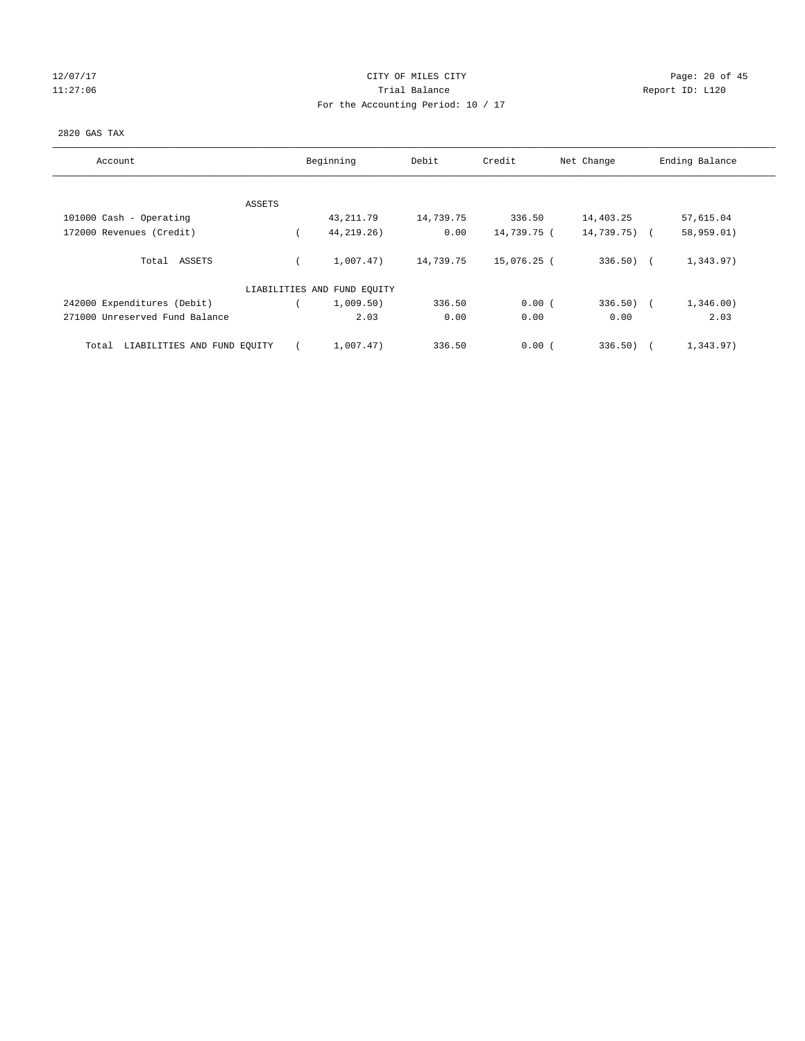# 12/07/17 Page: 20 of 45 11:27:06 **Trial Balance Trial Balance Report ID:** L120 For the Accounting Period: 10 / 17

### 2820 GAS TAX

| Account                              | Beginning                   | Debit     | Credit      | Net Change    | Ending Balance |
|--------------------------------------|-----------------------------|-----------|-------------|---------------|----------------|
| ASSETS                               |                             |           |             |               |                |
| 101000 Cash - Operating              | 43,211.79                   | 14,739.75 | 336.50      | 14,403.25     | 57,615.04      |
| 172000 Revenues (Credit)             | 44, 219, 26)                | 0.00      | 14,739.75 ( | $14,739.75$ ( | 58,959.01)     |
| Total ASSETS                         | 1,007.47)                   | 14,739.75 | 15,076.25 ( | $336.50$ (    | 1,343.97)      |
|                                      | LIABILITIES AND FUND EQUITY |           |             |               |                |
| 242000 Expenditures (Debit)          | 1,009.50)                   | 336.50    | 0.00(       | $336.50$ (    | 1,346.00)      |
| 271000 Unreserved Fund Balance       | 2.03                        | 0.00      | 0.00        | 0.00          | 2.03           |
| LIABILITIES AND FUND EQUITY<br>Total | 1,007.47)                   | 336.50    | 0.00(       | 336.50)       | 1,343.97)      |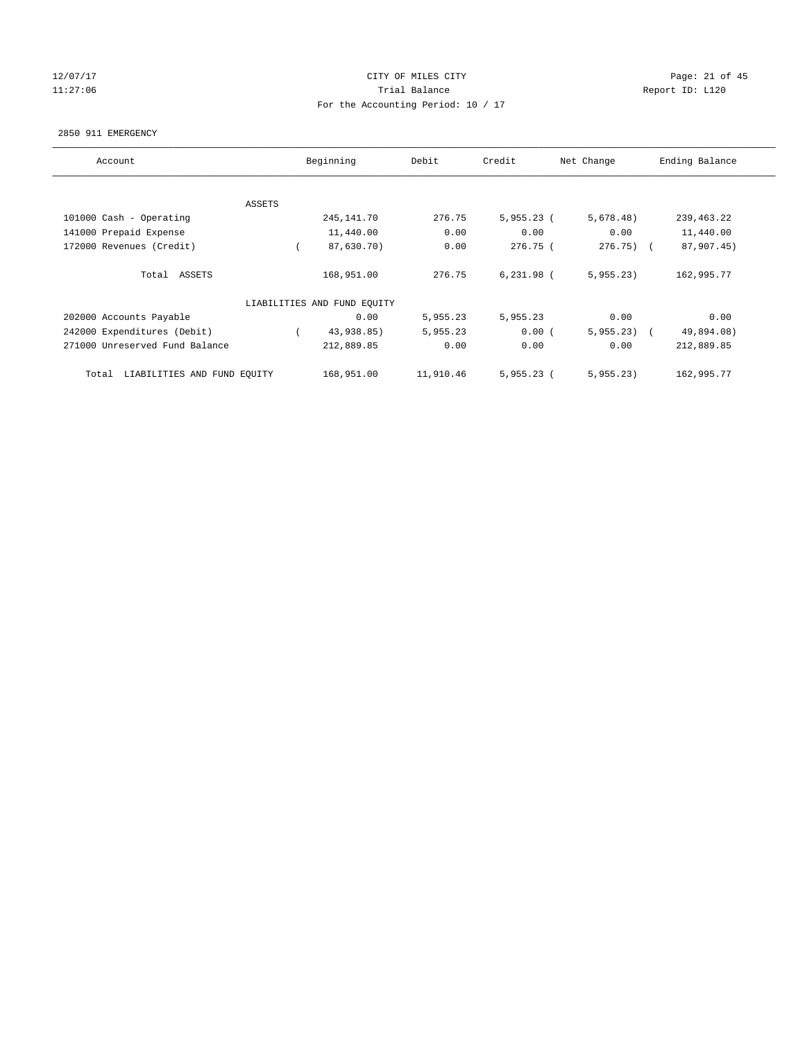# 12/07/17 Page: 21 of 45 11:27:06 **Trial Balance Trial Balance Report ID:** L120 For the Accounting Period: 10 / 17

#### 2850 911 EMERGENCY

| Account                              | Beginning                   |           | Credit       | Net Change   | Ending Balance |
|--------------------------------------|-----------------------------|-----------|--------------|--------------|----------------|
|                                      |                             |           |              |              |                |
| ASSETS                               |                             |           |              |              |                |
| 101000 Cash - Operating              | 245, 141. 70                | 276.75    | $5,955.23$ ( | 5,678.48)    | 239, 463. 22   |
| 141000 Prepaid Expense               | 11,440.00                   | 0.00      | 0.00         | 0.00         | 11,440.00      |
| 172000 Revenues (Credit)             | 87,630.70)                  | 0.00      | 276.75 (     | $276.75)$ (  | 87,907.45)     |
|                                      |                             |           |              |              |                |
| Total ASSETS                         | 168,951.00                  | 276.75    | $6,231.98$ ( | 5,955.23     | 162,995.77     |
|                                      |                             |           |              |              |                |
|                                      | LIABILITIES AND FUND EQUITY |           |              |              |                |
| 202000 Accounts Payable              | 0.00                        | 5,955.23  | 5,955.23     | 0.00         | 0.00           |
| 242000 Expenditures (Debit)          | 43,938.85)                  | 5,955.23  | 0.00(        | $5,955.23$ ( | 49,894.08)     |
| 271000 Unreserved Fund Balance       | 212,889.85                  | 0.00      | 0.00         | 0.00         | 212,889.85     |
|                                      |                             |           |              |              |                |
| LIABILITIES AND FUND EQUITY<br>Total | 168,951.00                  | 11,910.46 | $5,955.23$ ( | 5,955.23     | 162,995.77     |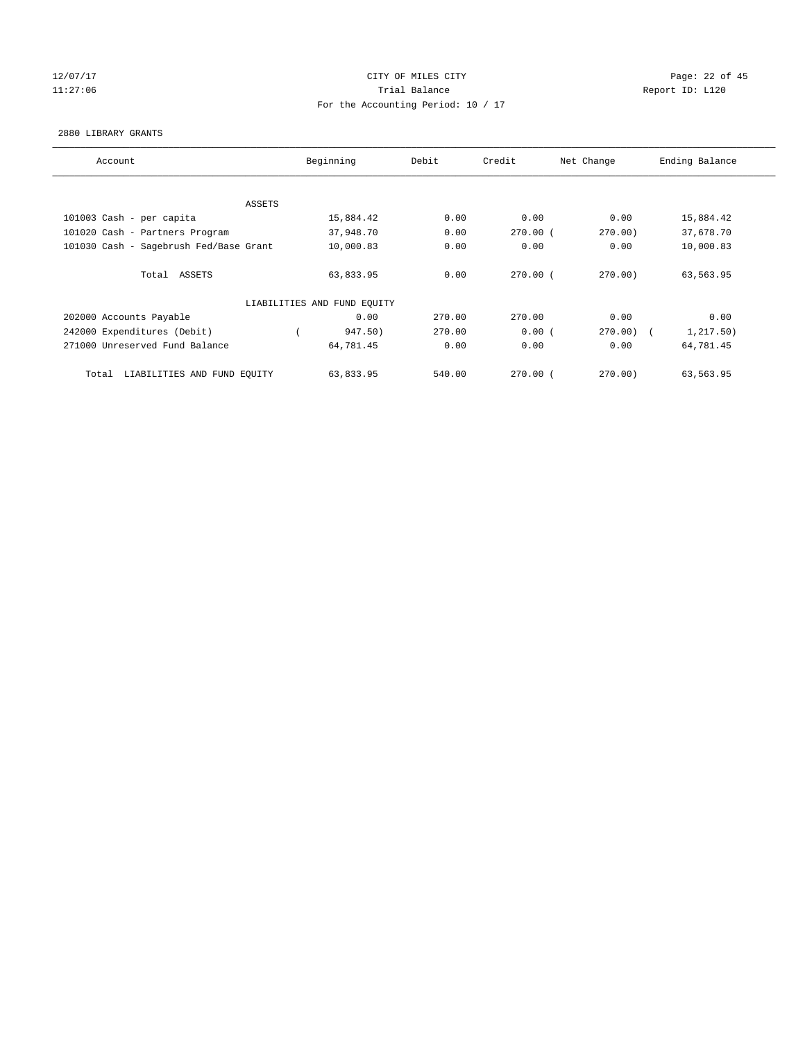# 12/07/17 Page: 22 of 45 11:27:06 **Trial Balance Trial Balance Report ID:** L120 For the Accounting Period: 10 / 17

#### 2880 LIBRARY GRANTS

| Account                                |        | Beginning                   | Debit  | Credit       | Net Change | Ending Balance |
|----------------------------------------|--------|-----------------------------|--------|--------------|------------|----------------|
|                                        |        |                             |        |              |            |                |
|                                        | ASSETS |                             |        |              |            |                |
| 101003 Cash - per capita               |        | 15,884.42                   | 0.00   | 0.00         | 0.00       | 15,884.42      |
| 101020 Cash - Partners Program         |        | 37,948.70                   | 0.00   | $270.00$ (   | 270.00)    | 37,678.70      |
| 101030 Cash - Sagebrush Fed/Base Grant |        | 10,000.83                   | 0.00   | 0.00         | 0.00       | 10,000.83      |
|                                        |        |                             |        |              |            |                |
| Total ASSETS                           |        | 63,833.95                   | 0.00   | $270.00$ (   | 270.00     | 63,563.95      |
|                                        |        |                             |        |              |            |                |
|                                        |        | LIABILITIES AND FUND EQUITY |        |              |            |                |
| 202000 Accounts Payable                |        | 0.00                        | 270.00 | 270.00       | 0.00       | 0.00           |
| 242000 Expenditures (Debit)            |        | 947.50)                     | 270.00 | 0.00(        | 270.00     | 1,217.50)      |
| 271000 Unreserved Fund Balance         |        | 64,781.45                   | 0.00   | 0.00         | 0.00       | 64,781.45      |
|                                        |        |                             |        |              |            |                |
| LIABILITIES AND FUND EQUITY<br>Total   |        | 63,833.95                   | 540.00 | $270.00$ $($ | 270.00     | 63,563.95      |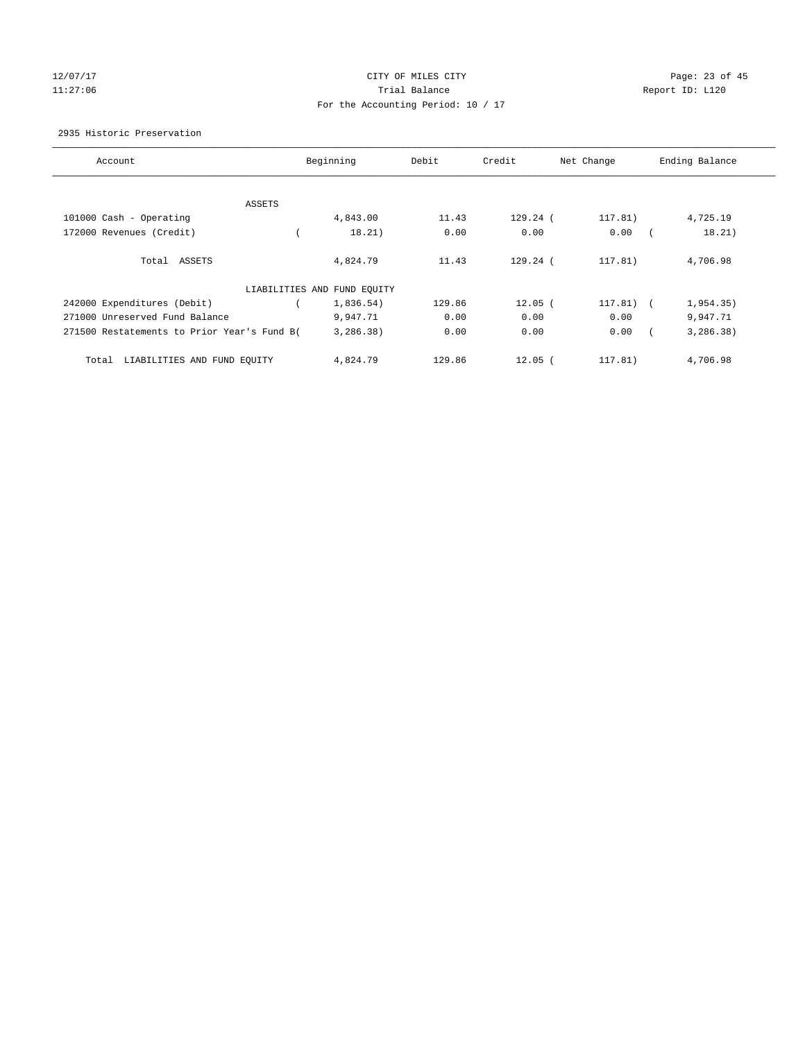# 12/07/17 Page: 23 of 45 11:27:06 Trial Balance Report ID: L120 For the Accounting Period: 10 / 17

### 2935 Historic Preservation

| Account                                     |        | Beginning                   | Debit  | Credit      | Net Change | Ending Balance      |
|---------------------------------------------|--------|-----------------------------|--------|-------------|------------|---------------------|
|                                             |        |                             |        |             |            |                     |
|                                             | ASSETS |                             |        |             |            |                     |
| 101000 Cash - Operating                     |        | 4,843.00                    | 11.43  | 129.24 (    | 117.81)    | 4,725.19            |
| 172000 Revenues (Credit)                    |        | 18.21)                      | 0.00   | 0.00        | 0.00       | 18.21)              |
| Total ASSETS                                |        | 4,824.79                    | 11.43  | $129.24$ (  | 117.81)    | 4,706.98            |
|                                             |        | LIABILITIES AND FUND EQUITY |        |             |            |                     |
| 242000 Expenditures (Debit)                 |        | 1,836.54)                   | 129.86 | $12.05$ (   | 117.81)    | 1,954.35)<br>$\sim$ |
| 271000 Unreserved Fund Balance              |        | 9,947.71                    | 0.00   | 0.00        | 0.00       | 9,947.71            |
| 271500 Restatements to Prior Year's Fund B( |        | 3,286.38)                   | 0.00   | 0.00        | 0.00       | 3, 286.38)          |
| Total<br>LIABILITIES AND FUND EQUITY        |        | 4,824.79                    | 129.86 | $12.05$ $($ | 117.81)    | 4,706.98            |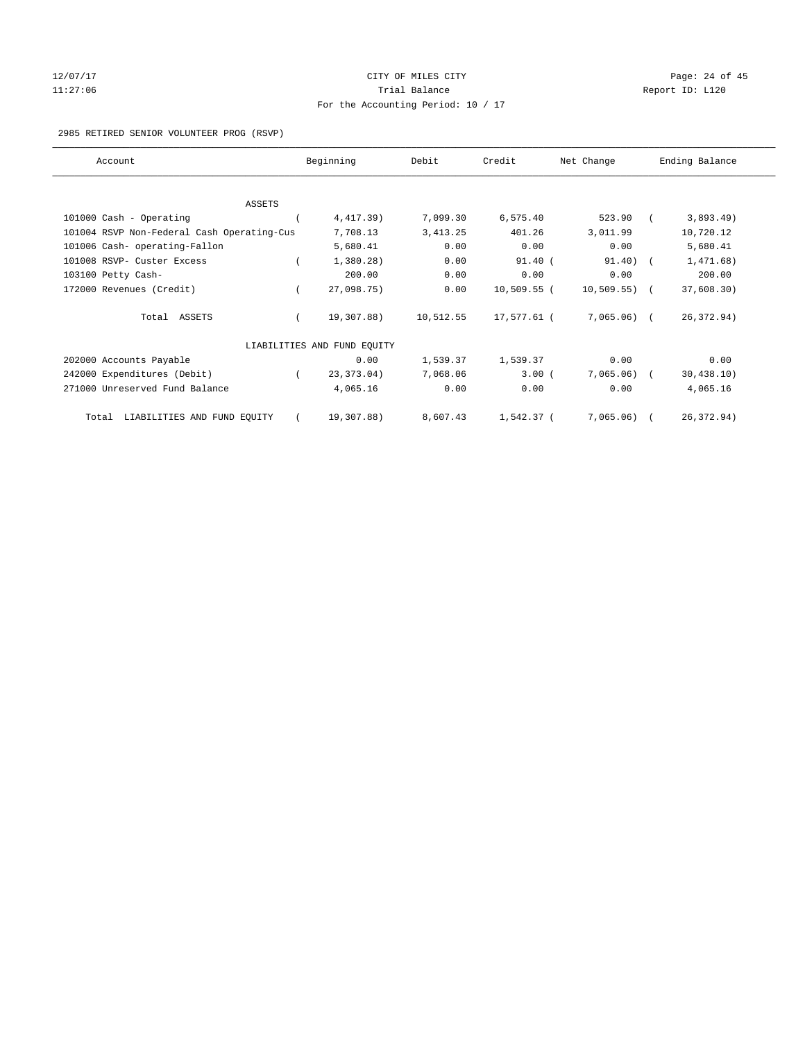# 12/07/17 Page: 24 of 45 11:27:06 **Trial Balance Trial Balance Report ID:** L120 For the Accounting Period: 10 / 17

#### 2985 RETIRED SENIOR VOLUNTEER PROG (RSVP)

| Account                                    | Beginning                   | Debit     | Credit        | Net Change      | Ending Balance |
|--------------------------------------------|-----------------------------|-----------|---------------|-----------------|----------------|
| ASSETS                                     |                             |           |               |                 |                |
| 101000 Cash - Operating                    | 4,417.39)                   | 7,099.30  | 6,575.40      | 523.90          | 3,893.49)      |
| 101004 RSVP Non-Federal Cash Operating-Cus | 7,708.13                    | 3, 413.25 | 401.26        | 3,011.99        | 10,720.12      |
| 101006 Cash- operating-Fallon              | 5,680.41                    | 0.00      | 0.00          | 0.00            | 5,680.41       |
| 101008 RSVP- Custer Excess                 | 1,380.28)                   | 0.00      | 91.40(        | $91.40$ ) (     | 1,471.68)      |
| 103100 Petty Cash-                         | 200.00                      | 0.00      | 0.00          | 0.00            | 200.00         |
| 172000 Revenues (Credit)                   | 27,098.75)                  | 0.00      | $10,509.55$ ( | $10,509.55$ ) ( | 37,608.30)     |
| Total ASSETS                               | 19,307.88)                  | 10,512.55 | 17,577.61 (   | $7,065.06$ (    | 26, 372.94)    |
|                                            | LIABILITIES AND FUND EQUITY |           |               |                 |                |
| 202000 Accounts Payable                    | 0.00                        | 1,539.37  | 1,539.37      | 0.00            | 0.00           |
| 242000 Expenditures (Debit)                | 23, 373.04)                 | 7,068.06  | $3.00$ (      | $7,065.06$ (    | 30, 438.10)    |
| 271000 Unreserved Fund Balance             | 4,065.16                    | 0.00      | 0.00          | 0.00            | 4,065.16       |
| LIABILITIES AND FUND EQUITY<br>Total       | 19,307.88)                  | 8,607.43  | 1,542.37 (    | 7,065.06)       | 26, 372.94)    |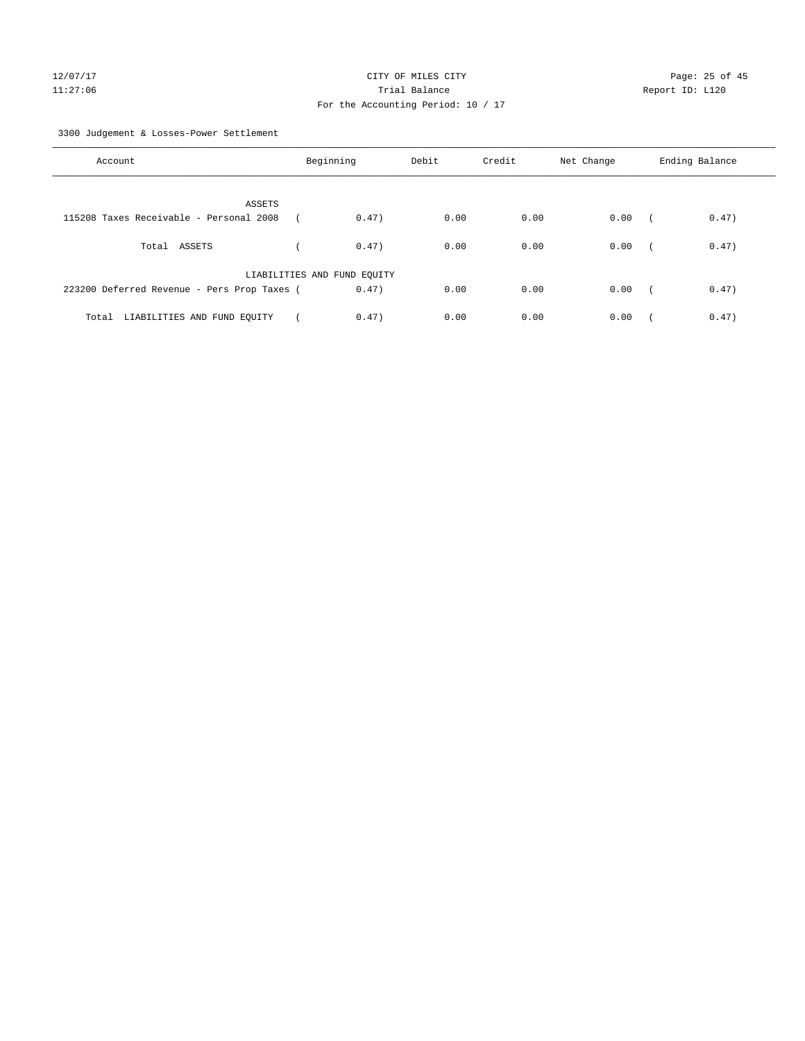# For the Accounting Period: 10 / 17

3300 Judgement & Losses-Power Settlement

| Account                                     | Beginning                   | Debit | Credit | Net Change | Ending Balance      |
|---------------------------------------------|-----------------------------|-------|--------|------------|---------------------|
| ASSETS                                      |                             |       |        |            |                     |
| 115208 Taxes Receivable - Personal 2008     | 0.47)                       | 0.00  | 0.00   | 0.00       | 0.47)<br>$\sqrt{2}$ |
| Total ASSETS                                | 0.47)                       | 0.00  | 0.00   | 0.00       | 0.47)<br>$\sim$     |
|                                             | LIABILITIES AND FUND EQUITY |       |        |            |                     |
| 223200 Deferred Revenue - Pers Prop Taxes ( | 0.47)                       | 0.00  | 0.00   | 0.00       | 0.47)<br>$\sqrt{2}$ |
| LIABILITIES AND FUND EQUITY<br>Total        | 0.47)                       | 0.00  | 0.00   | 0.00       | 0.47)               |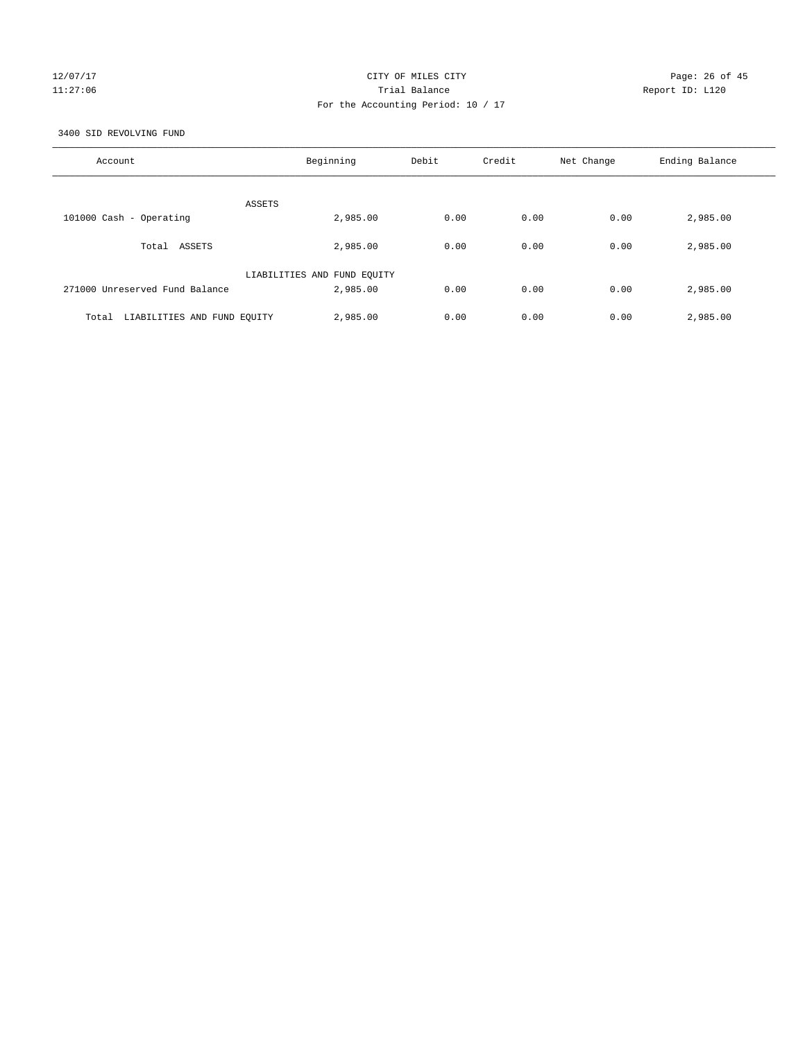# 12/07/17 Page: 26 of 45 11:27:06 Trial Balance Report ID: L120 For the Accounting Period: 10 / 17

3400 SID REVOLVING FUND

| Account                              | Beginning                   | Debit | Credit | Net Change | Ending Balance |
|--------------------------------------|-----------------------------|-------|--------|------------|----------------|
| ASSETS                               |                             |       |        |            |                |
| 101000 Cash - Operating              | 2,985.00                    | 0.00  | 0.00   | 0.00       | 2,985.00       |
| ASSETS<br>Total                      | 2,985.00                    | 0.00  | 0.00   | 0.00       | 2,985.00       |
|                                      | LIABILITIES AND FUND EQUITY |       |        |            |                |
| 271000 Unreserved Fund Balance       | 2,985.00                    | 0.00  | 0.00   | 0.00       | 2,985.00       |
| LIABILITIES AND FUND EQUITY<br>Total | 2,985.00                    | 0.00  | 0.00   | 0.00       | 2,985.00       |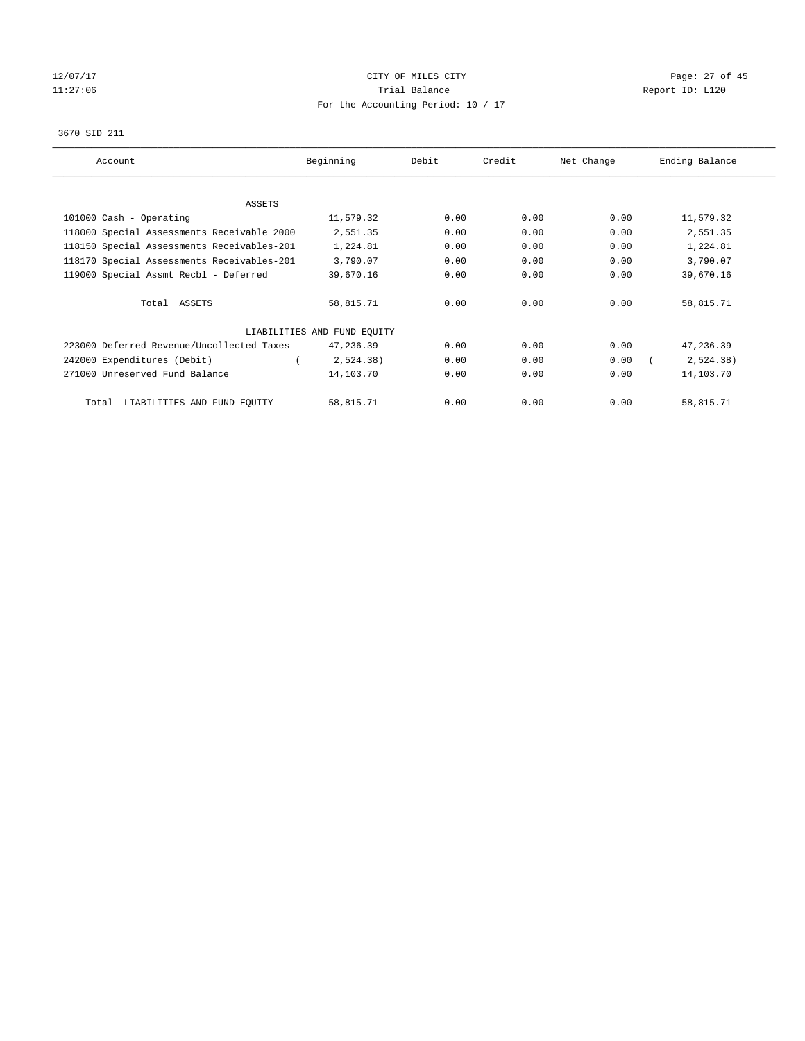# 12/07/17 Page: 27 of 45 11:27:06 **Trial Balance Trial Balance Report ID:** L120 For the Accounting Period: 10 / 17

#### 3670 SID 211

| Account                                    | Beginning                   | Debit | Credit | Net Change | Ending Balance |
|--------------------------------------------|-----------------------------|-------|--------|------------|----------------|
|                                            |                             |       |        |            |                |
| ASSETS                                     |                             |       |        |            |                |
| 101000 Cash - Operating                    | 11,579.32                   | 0.00  | 0.00   | 0.00       | 11,579.32      |
| 118000 Special Assessments Receivable 2000 | 2,551.35                    | 0.00  | 0.00   | 0.00       | 2,551.35       |
| 118150 Special Assessments Receivables-201 | 1,224.81                    | 0.00  | 0.00   | 0.00       | 1,224.81       |
| 118170 Special Assessments Receivables-201 | 3,790.07                    | 0.00  | 0.00   | 0.00       | 3,790.07       |
| 119000 Special Assmt Recbl - Deferred      | 39,670.16                   | 0.00  | 0.00   | 0.00       | 39,670.16      |
| Total ASSETS                               | 58,815.71                   | 0.00  | 0.00   | 0.00       | 58,815.71      |
|                                            | LIABILITIES AND FUND EQUITY |       |        |            |                |
| 223000 Deferred Revenue/Uncollected Taxes  | 47,236.39                   | 0.00  | 0.00   | 0.00       | 47,236.39      |
| 242000 Expenditures (Debit)                | 2,524.38)                   | 0.00  | 0.00   | 0.00       | 2,524.38)      |
| 271000 Unreserved Fund Balance             | 14,103.70                   | 0.00  | 0.00   | 0.00       | 14,103.70      |
| LIABILITIES AND FUND EOUITY<br>Total       | 58,815.71                   | 0.00  | 0.00   | 0.00       | 58,815.71      |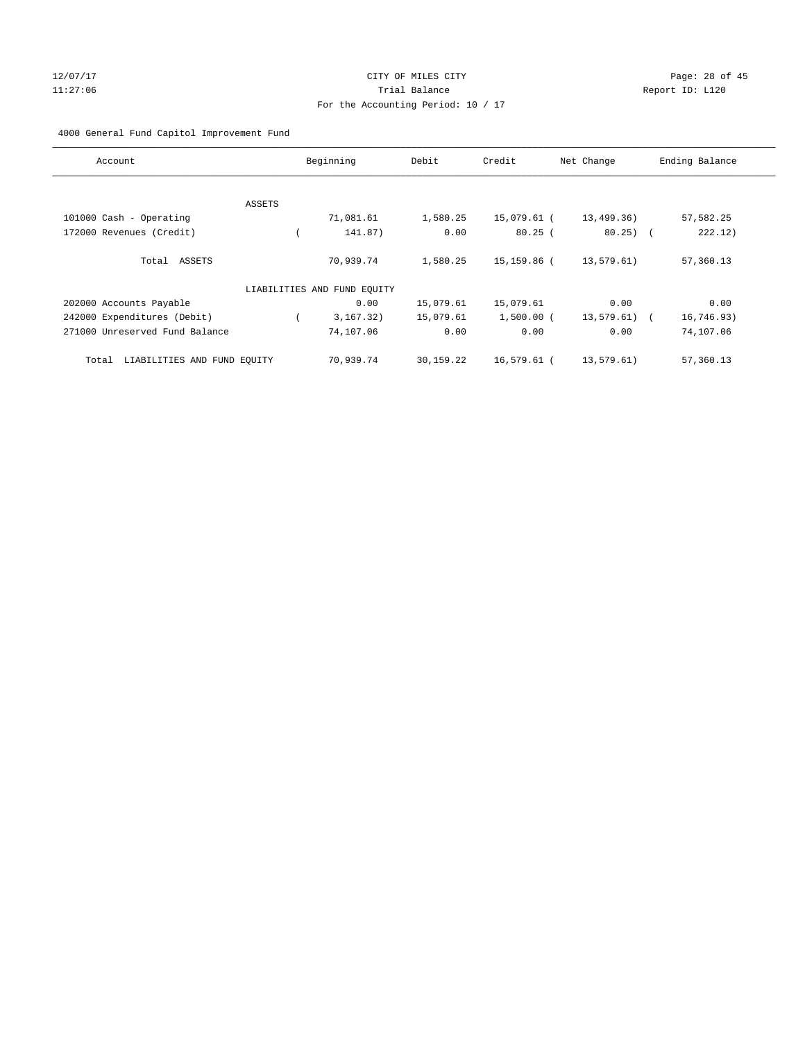# 12/07/17 Page: 28 of 45 11:27:06 Trial Balance Report ID: L120 For the Accounting Period: 10 / 17

# 4000 General Fund Capitol Improvement Fund

| Account                              |        | Beginning                   | Debit     | Credit       | Net Change    | Ending Balance |
|--------------------------------------|--------|-----------------------------|-----------|--------------|---------------|----------------|
|                                      |        |                             |           |              |               |                |
|                                      | ASSETS |                             |           |              |               |                |
| 101000 Cash - Operating              |        | 71,081.61                   | 1,580.25  | 15,079.61 (  | 13,499.36)    | 57,582.25      |
| 172000 Revenues (Credit)             |        | 141.87)                     | 0.00      | 80.25(       | $80.25$ (     | 222.12)        |
| Total ASSETS                         |        | 70,939.74                   | 1,580.25  | 15,159.86 (  | 13,579.61)    | 57,360.13      |
|                                      |        | LIABILITIES AND FUND EQUITY |           |              |               |                |
| 202000 Accounts Payable              |        | 0.00                        | 15,079.61 | 15,079.61    | 0.00          | 0.00           |
| 242000 Expenditures (Debit)          |        | 3, 167, 32)                 | 15,079.61 | $1,500.00$ ( | $13,579.61$ ( | 16,746.93)     |
| 271000 Unreserved Fund Balance       |        | 74,107.06                   | 0.00      | 0.00         | 0.00          | 74,107.06      |
| LIABILITIES AND FUND EQUITY<br>Total |        | 70,939.74                   | 30,159.22 | 16,579.61 (  | 13,579.61)    | 57,360.13      |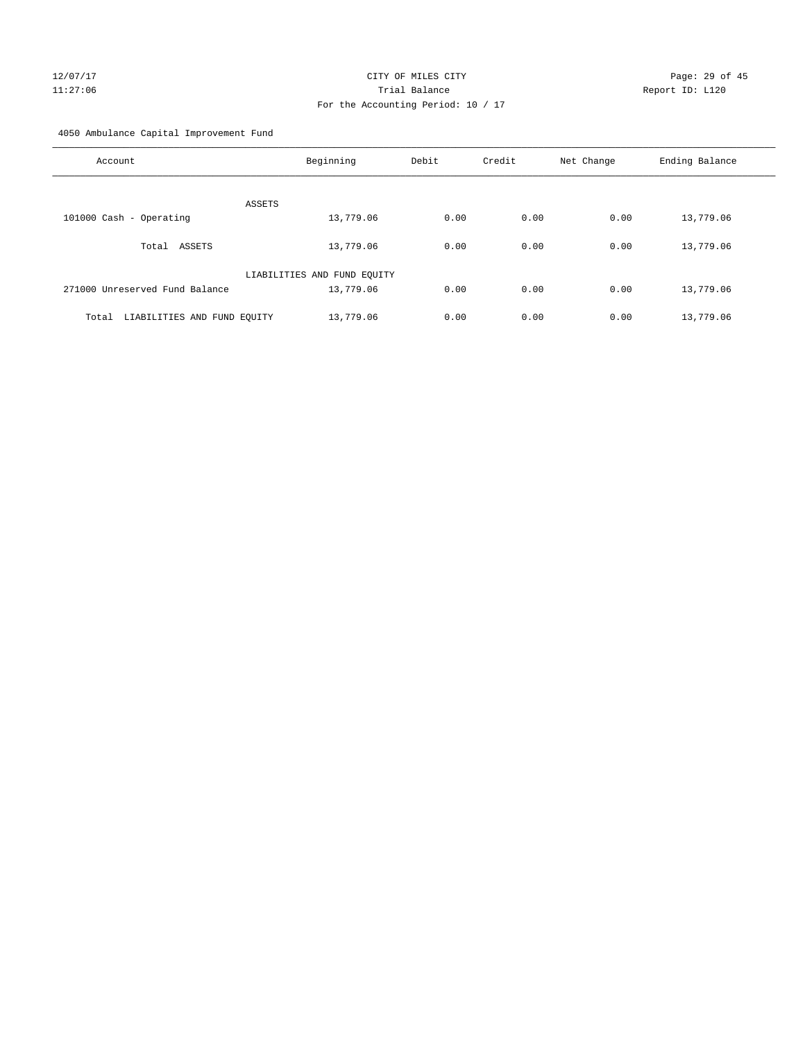# 12/07/17 Page: 29 of 45 11:27:06 Trial Balance Report ID: L120 For the Accounting Period: 10 / 17

4050 Ambulance Capital Improvement Fund

| Account                              | Beginning                   | Debit | Credit | Net Change | Ending Balance |
|--------------------------------------|-----------------------------|-------|--------|------------|----------------|
| ASSETS                               |                             |       |        |            |                |
| 101000 Cash - Operating              | 13,779.06                   | 0.00  | 0.00   | 0.00       | 13,779.06      |
| ASSETS<br>Total                      | 13,779.06                   | 0.00  | 0.00   | 0.00       | 13,779.06      |
|                                      | LIABILITIES AND FUND EQUITY |       |        |            |                |
| 271000 Unreserved Fund Balance       | 13,779.06                   | 0.00  | 0.00   | 0.00       | 13,779.06      |
| LIABILITIES AND FUND EQUITY<br>Total | 13,779.06                   | 0.00  | 0.00   | 0.00       | 13,779.06      |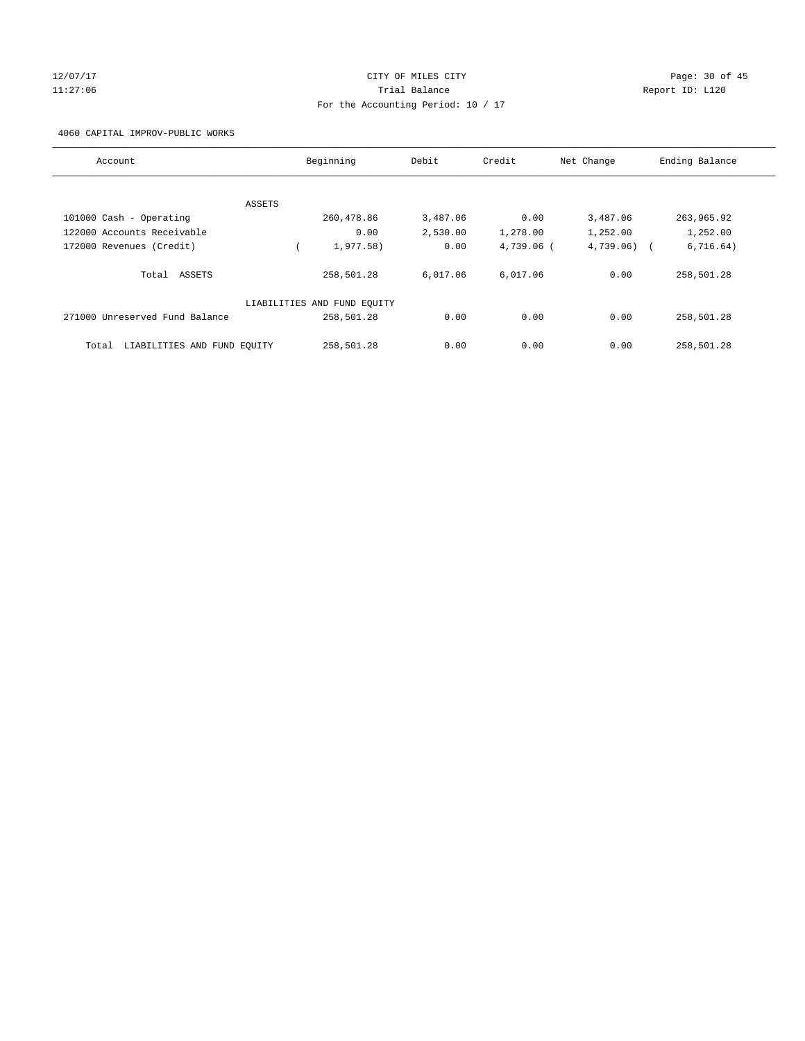# 12/07/17 Page: 30 of 45 11:27:06 Trial Balance Report ID: L120 For the Accounting Period: 10 / 17

4060 CAPITAL IMPROV-PUBLIC WORKS

| Account                              | Beginning                   | Debit    | Credit     | Net Change | Ending Balance          |
|--------------------------------------|-----------------------------|----------|------------|------------|-------------------------|
|                                      |                             |          |            |            |                         |
| ASSETS                               |                             |          |            |            |                         |
| 101000 Cash - Operating              | 260,478.86                  | 3,487.06 | 0.00       | 3,487.06   | 263,965.92              |
| 122000 Accounts Receivable           | 0.00                        | 2,530.00 | 1,278.00   | 1,252.00   | 1,252.00                |
| 172000 Revenues (Credit)             | 1,977.58)                   | 0.00     | 4,739.06 ( | 4,739.06)  | 6,716.64)<br>$\sqrt{2}$ |
| Total ASSETS                         | 258,501.28                  | 6,017.06 | 6,017.06   | 0.00       | 258,501.28              |
|                                      | LIABILITIES AND FUND EQUITY |          |            |            |                         |
| 271000 Unreserved Fund Balance       | 258,501.28                  | 0.00     | 0.00       | 0.00       | 258,501.28              |
| LIABILITIES AND FUND EOUITY<br>Total | 258,501.28                  | 0.00     | 0.00       | 0.00       | 258,501.28              |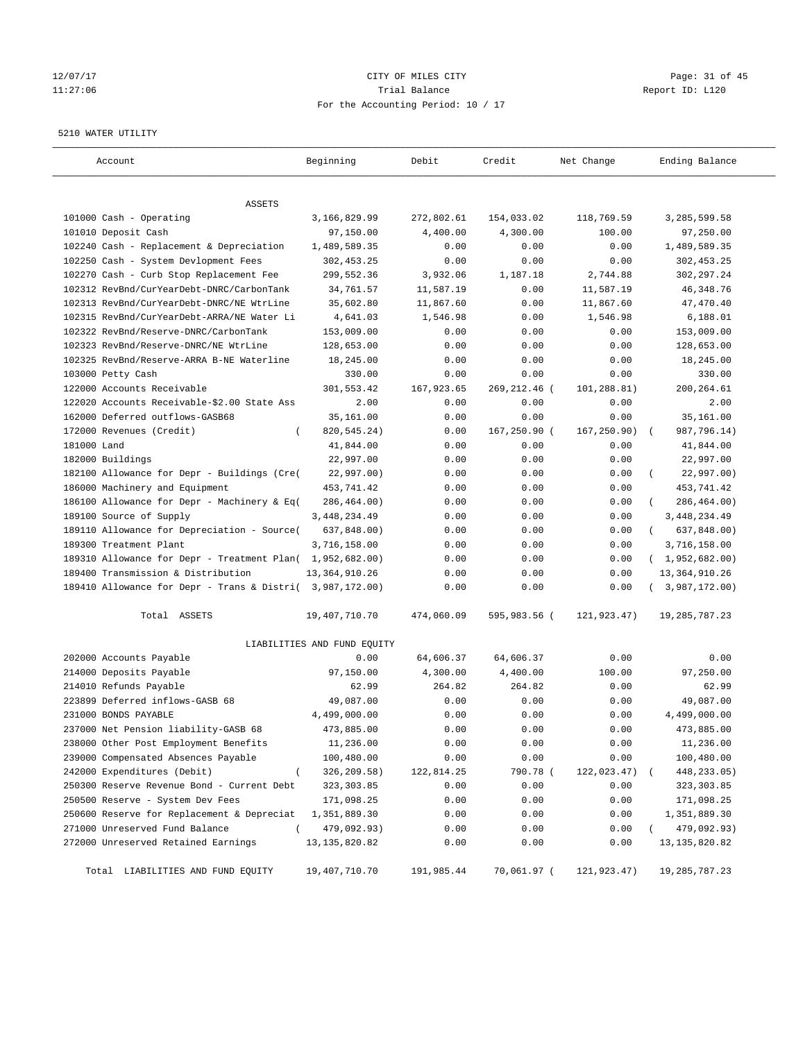# 12/07/17 Page: 31 of 45 11:27:06 Trial Balance Report ID: L120 For the Accounting Period: 10 / 17

#### 5210 WATER UTILITY

| Account                                                   | Beginning                   | Debit      | Credit       | Net Change   | Ending Balance          |
|-----------------------------------------------------------|-----------------------------|------------|--------------|--------------|-------------------------|
| ASSETS                                                    |                             |            |              |              |                         |
| 101000 Cash - Operating                                   | 3,166,829.99                | 272,802.61 | 154,033.02   | 118,769.59   | 3,285,599.58            |
| 101010 Deposit Cash                                       | 97,150.00                   | 4,400.00   | 4,300.00     | 100.00       | 97,250.00               |
| 102240 Cash - Replacement & Depreciation                  | 1,489,589.35                | 0.00       | 0.00         | 0.00         | 1,489,589.35            |
| 102250 Cash - System Devlopment Fees                      | 302,453.25                  | 0.00       | 0.00         | 0.00         | 302,453.25              |
| 102270 Cash - Curb Stop Replacement Fee                   | 299,552.36                  | 3,932.06   | 1,187.18     | 2,744.88     | 302,297.24              |
| 102312 RevBnd/CurYearDebt-DNRC/CarbonTank                 | 34,761.57                   | 11,587.19  | 0.00         | 11,587.19    | 46, 348.76              |
| 102313 RevBnd/CurYearDebt-DNRC/NE WtrLine                 | 35,602.80                   | 11,867.60  | 0.00         | 11,867.60    | 47,470.40               |
| 102315 RevBnd/CurYearDebt-ARRA/NE Water Li                | 4,641.03                    | 1,546.98   | 0.00         | 1,546.98     | 6,188.01                |
| 102322 RevBnd/Reserve-DNRC/CarbonTank                     | 153,009.00                  | 0.00       | 0.00         | 0.00         | 153,009.00              |
| 102323 RevBnd/Reserve-DNRC/NE WtrLine                     | 128,653.00                  | 0.00       | 0.00         | 0.00         | 128,653.00              |
| 102325 RevBnd/Reserve-ARRA B-NE Waterline                 | 18,245.00                   | 0.00       | 0.00         | 0.00         | 18,245.00               |
| 103000 Petty Cash                                         | 330.00                      | 0.00       | 0.00         | 0.00         | 330.00                  |
| 122000 Accounts Receivable                                | 301,553.42                  | 167,923.65 | 269,212.46 ( | 101,288.81)  | 200,264.61              |
| 122020 Accounts Receivable-\$2.00 State Ass               | 2.00                        | 0.00       | 0.00         | 0.00         | 2.00                    |
| 162000 Deferred outflows-GASB68                           | 35,161.00                   | 0.00       | 0.00         | 0.00         | 35,161.00               |
| 172000 Revenues (Credit)<br>$\left($                      | 820, 545. 24)               | 0.00       | 167,250.90 ( | 167, 250.90) | 987,796.14)             |
| 181000 Land                                               | 41,844.00                   | 0.00       | 0.00         | 0.00         | 41,844.00               |
| 182000 Buildings                                          | 22,997.00                   | 0.00       | 0.00         | 0.00         | 22,997.00               |
| 182100 Allowance for Depr - Buildings (Cre(               | 22,997.00)                  | 0.00       | 0.00         | 0.00         | 22,997.00)              |
| 186000 Machinery and Equipment                            | 453,741.42                  | 0.00       | 0.00         | 0.00         | 453,741.42              |
| 186100 Allowance for Depr - Machinery & Eq(               | 286,464.00)                 | 0.00       | 0.00         | 0.00         | 286,464.00)             |
| 189100 Source of Supply                                   | 3, 448, 234.49              | 0.00       | 0.00         | 0.00         | 3,448,234.49            |
| 189110 Allowance for Depreciation - Source(               | 637,848.00)                 | 0.00       | 0.00         | 0.00         | 637,848.00)<br>$\left($ |
| 189300 Treatment Plant                                    | 3,716,158.00                | 0.00       | 0.00         | 0.00         | 3,716,158.00            |
| 189310 Allowance for Depr - Treatment Plan( 1,952,682.00) |                             | 0.00       | 0.00         | 0.00         | (1,952,682.00)          |
| 189400 Transmission & Distribution                        | 13, 364, 910.26             | 0.00       | 0.00         | 0.00         | 13, 364, 910.26         |
| 189410 Allowance for Depr - Trans & Distri( 3,987,172.00) |                             | 0.00       | 0.00         | 0.00         | (3,987,172.00)          |
| Total ASSETS                                              | 19,407,710.70               | 474,060.09 | 595,983.56 ( | 121,923.47)  | 19,285,787.23           |
|                                                           | LIABILITIES AND FUND EQUITY |            |              |              |                         |
| 202000 Accounts Payable                                   | 0.00                        | 64,606.37  | 64,606.37    | 0.00         | 0.00                    |
| 214000 Deposits Payable                                   | 97,150.00                   | 4,300.00   | 4,400.00     | 100.00       | 97,250.00               |
| 214010 Refunds Payable                                    | 62.99                       | 264.82     | 264.82       | 0.00         | 62.99                   |
| 223899 Deferred inflows-GASB 68                           | 49,087.00                   | 0.00       | 0.00         | 0.00         | 49,087.00               |
| 231000 BONDS PAYABLE                                      | 4,499,000.00                | 0.00       | 0.00         | 0.00         | 4,499,000.00            |
| 237000 Net Pension liability-GASB 68                      | 473,885.00                  | 0.00       | 0.00         | 0.00         | 473,885.00              |
| 238000 Other Post Employment Benefits                     | 11,236.00                   | 0.00       | 0.00         | 0.00         | 11,236.00               |
| 239000 Compensated Absences Payable                       | 100,480.00                  | 0.00       | 0.00         | 0.00         | 100,480.00              |
| 242000 Expenditures (Debit)<br>$\overline{ }$             | 326,209.58)                 | 122,814.25 | 790.78 (     | 122,023.47)  | 448, 233.05)            |
| 250300 Reserve Revenue Bond - Current Debt                | 323, 303.85                 | 0.00       | 0.00         | 0.00         | 323, 303.85             |
| 250500 Reserve - System Dev Fees                          | 171,098.25                  | 0.00       | 0.00         | 0.00         | 171,098.25              |
| 250600 Reserve for Replacement & Depreciat                | 1,351,889.30                | 0.00       | 0.00         | 0.00         | 1,351,889.30            |
| 271000 Unreserved Fund Balance<br>$\left($                | 479,092.93)                 | 0.00       | 0.00         | 0.00         | 479,092.93)             |
| 272000 Unreserved Retained Earnings                       | 13, 135, 820.82             | 0.00       | 0.00         | 0.00         | 13, 135, 820.82         |
| Total LIABILITIES AND FUND EQUITY                         | 19,407,710.70               | 191,985.44 | 70,061.97 (  | 121,923.47)  | 19, 285, 787. 23        |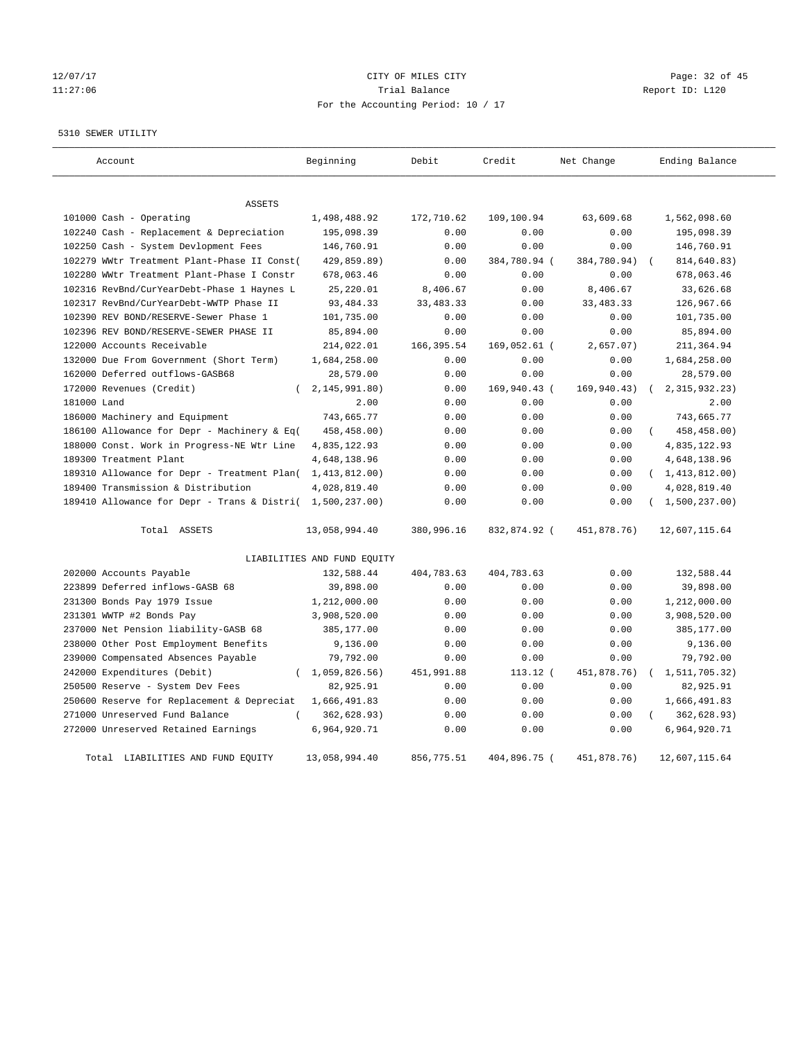# 12/07/17 Page: 32 of 45 11:27:06 Trial Balance Report ID: L120 For the Accounting Period: 10 / 17

#### 5310 SEWER UTILITY

| Account                                                   | Beginning                   | Debit       | Credit       | Net Change  | Ending Balance          |
|-----------------------------------------------------------|-----------------------------|-------------|--------------|-------------|-------------------------|
| <b>ASSETS</b>                                             |                             |             |              |             |                         |
| 101000 Cash - Operating                                   | 1,498,488.92                | 172,710.62  | 109,100.94   | 63,609.68   | 1,562,098.60            |
| 102240 Cash - Replacement & Depreciation                  | 195,098.39                  | 0.00        | 0.00         | 0.00        | 195,098.39              |
| 102250 Cash - System Devlopment Fees                      | 146,760.91                  | 0.00        | 0.00         | 0.00        | 146,760.91              |
| 102279 WWtr Treatment Plant-Phase II Const(               | 429,859.89)                 | 0.00        | 384,780.94 ( | 384,780.94) | 814,640.83)             |
| 102280 WWtr Treatment Plant-Phase I Constr                | 678,063.46                  | 0.00        | 0.00         | 0.00        | 678,063.46              |
| 102316 RevBnd/CurYearDebt-Phase 1 Haynes L                | 25, 220.01                  | 8,406.67    | 0.00         | 8,406.67    | 33,626.68               |
| 102317 RevBnd/CurYearDebt-WWTP Phase II                   | 93, 484. 33                 | 33, 483. 33 | 0.00         | 33, 483. 33 | 126,967.66              |
| 102390 REV BOND/RESERVE-Sewer Phase 1                     | 101,735.00                  | 0.00        | 0.00         | 0.00        | 101,735.00              |
| 102396 REV BOND/RESERVE-SEWER PHASE II                    | 85,894.00                   | 0.00        | 0.00         | 0.00        | 85,894.00               |
| 122000 Accounts Receivable                                | 214,022.01                  | 166, 395.54 | 169,052.61 ( | 2,657.07)   | 211,364.94              |
| 132000 Due From Government (Short Term)                   | 1,684,258.00                | 0.00        | 0.00         | 0.00        | 1,684,258.00            |
| 162000 Deferred outflows-GASB68                           | 28,579.00                   | 0.00        | 0.00         | 0.00        | 28,579.00               |
| 172000 Revenues (Credit)                                  | 2,145,991.80)               | 0.00        | 169,940.43 ( | 169,940.43) | 2, 315, 932. 23)        |
| 181000 Land                                               | 2.00                        | 0.00        | 0.00         | 0.00        | 2.00                    |
| 186000 Machinery and Equipment                            | 743,665.77                  | 0.00        | 0.00         | 0.00        | 743,665.77              |
| 186100 Allowance for Depr - Machinery & Eq(               | 458,458.00)                 | 0.00        | 0.00         | 0.00        | 458,458.00)             |
| 188000 Const. Work in Progress-NE Wtr Line                | 4,835,122.93                | 0.00        | 0.00         | 0.00        | 4,835,122.93            |
| 189300 Treatment Plant                                    | 4,648,138.96                | 0.00        | 0.00         | 0.00        | 4,648,138.96            |
| 189310 Allowance for Depr - Treatment Plan(               | 1,413,812.00)               | 0.00        | 0.00         | 0.00        | (1, 413, 812.00)        |
| 189400 Transmission & Distribution                        | 4,028,819.40                | 0.00        | 0.00         | 0.00        | 4,028,819.40            |
| 189410 Allowance for Depr - Trans & Distri( 1,500,237.00) |                             | 0.00        | 0.00         | 0.00        | (1,500,237.00)          |
| Total ASSETS                                              | 13,058,994.40               | 380,996.16  | 832,874.92 ( | 451,878.76) | 12,607,115.64           |
|                                                           | LIABILITIES AND FUND EQUITY |             |              |             |                         |
| 202000 Accounts Payable                                   | 132,588.44                  | 404,783.63  | 404,783.63   | 0.00        | 132,588.44              |
| 223899 Deferred inflows-GASB 68                           | 39,898.00                   | 0.00        | 0.00         | 0.00        | 39,898.00               |
| 231300 Bonds Pay 1979 Issue                               | 1,212,000.00                | 0.00        | 0.00         | 0.00        | 1,212,000.00            |
| 231301 WWTP #2 Bonds Pay                                  | 3,908,520.00                | 0.00        | 0.00         | 0.00        | 3,908,520.00            |
| 237000 Net Pension liability-GASB 68                      | 385,177.00                  | 0.00        | 0.00         | 0.00        | 385,177.00              |
| 238000 Other Post Employment Benefits                     | 9,136.00                    | 0.00        | 0.00         | 0.00        | 9,136.00                |
| 239000 Compensated Absences Payable                       | 79,792.00                   | 0.00        | 0.00         | 0.00        | 79,792.00               |
| 242000 Expenditures (Debit)                               | (1,059,826.56)              | 451,991.88  | 113.12 (     | 451,878.76) | 1,511,705.32)           |
| 250500 Reserve - System Dev Fees                          | 82,925.91                   | 0.00        | 0.00         | 0.00        | 82,925.91               |
| 250600 Reserve for Replacement & Depreciat                | 1,666,491.83                | 0.00        | 0.00         | 0.00        | 1,666,491.83            |
| 271000 Unreserved Fund Balance<br>$\left($                | 362,628.93)                 | 0.00        | 0.00         | 0.00        | 362,628.93)<br>$\left($ |
| 272000 Unreserved Retained Earnings                       | 6,964,920.71                | 0.00        | 0.00         | 0.00        | 6,964,920.71            |
| Total LIABILITIES AND FUND EOUITY                         | 13,058,994.40               | 856,775.51  | 404,896.75 ( | 451,878.76) | 12,607,115.64           |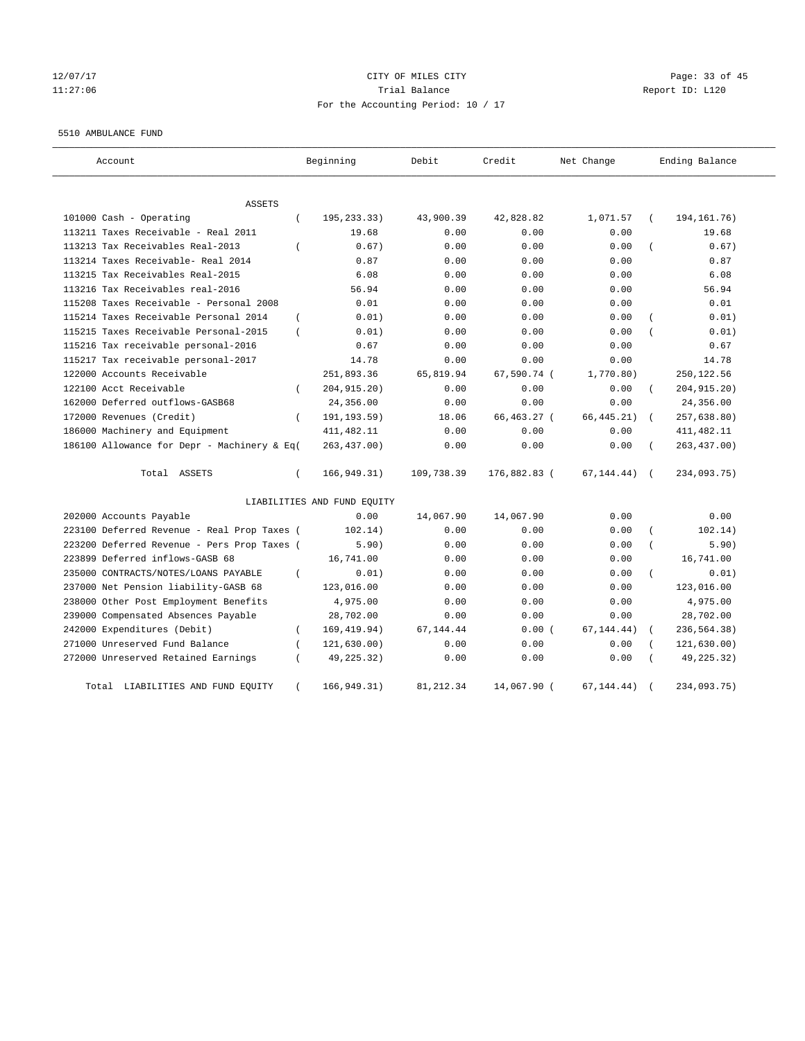# 12/07/17 Page: 33 of 45 11:27:06 Trial Balance Report ID: L120 For the Accounting Period: 10 / 17

#### 5510 AMBULANCE FUND

| Account                                           | Beginning                   | Debit      | Credit       | Net Change  | Ending Balance            |
|---------------------------------------------------|-----------------------------|------------|--------------|-------------|---------------------------|
| <b>ASSETS</b>                                     |                             |            |              |             |                           |
| 101000 Cash - Operating<br>$\left($               | 195,233.33)                 | 43,900.39  | 42,828.82    | 1,071.57    | 194, 161. 76)             |
| 113211 Taxes Receivable - Real 2011               | 19.68                       | 0.00       | 0.00         | 0.00        | 19.68                     |
| 113213 Tax Receivables Real-2013<br>$\left($      | 0.67)                       | 0.00       | 0.00         | 0.00        | 0.67)                     |
| 113214 Taxes Receivable- Real 2014                | 0.87                        | 0.00       | 0.00         | 0.00        | 0.87                      |
| 113215 Tax Receivables Real-2015                  | 6.08                        | 0.00       | 0.00         | 0.00        | 6.08                      |
| 113216 Tax Receivables real-2016                  | 56.94                       | 0.00       | 0.00         | 0.00        | 56.94                     |
| 115208 Taxes Receivable - Personal 2008           | 0.01                        | 0.00       | 0.00         | 0.00        | 0.01                      |
| 115214 Taxes Receivable Personal 2014<br>$\left($ | 0.01)                       | 0.00       | 0.00         | 0.00        | 0.01)                     |
| 115215 Taxes Receivable Personal-2015<br>$\left($ | 0.01)                       | 0.00       | 0.00         | 0.00        | 0.01)                     |
| 115216 Tax receivable personal-2016               | 0.67                        | 0.00       | 0.00         | 0.00        | 0.67                      |
| 115217 Tax receivable personal-2017               | 14.78                       | 0.00       | 0.00         | 0.00        | 14.78                     |
| 122000 Accounts Receivable                        | 251,893.36                  | 65,819.94  | 67,590.74 (  | 1,770.80)   | 250, 122.56               |
| 122100 Acct Receivable<br>$\left($                | 204, 915. 20)               | 0.00       | 0.00         | 0.00        | 204, 915. 20)<br>$\left($ |
| 162000 Deferred outflows-GASB68                   | 24,356.00                   | 0.00       | 0.00         | 0.00        | 24,356.00                 |
| 172000 Revenues (Credit)<br>$\left($              | 191, 193.59)                | 18.06      | 66,463.27 (  | 66, 445.21) | 257,638.80)               |
| 186000 Machinery and Equipment                    | 411, 482.11                 | 0.00       | 0.00         | 0.00        | 411, 482.11               |
| 186100 Allowance for Depr - Machinery & Eq(       | 263, 437.00)                | 0.00       | 0.00         | 0.00        | 263, 437.00)              |
| Total ASSETS<br>$\left($                          | 166, 949.31)                | 109,738.39 | 176,882.83 ( | 67, 144.44) | 234,093.75)<br>$\sqrt{ }$ |
|                                                   | LIABILITIES AND FUND EQUITY |            |              |             |                           |
| 202000 Accounts Payable                           | 0.00                        | 14,067.90  | 14,067.90    | 0.00        | 0.00                      |
| 223100 Deferred Revenue - Real Prop Taxes (       | 102.14)                     | 0.00       | 0.00         | 0.00        | 102.14)                   |
| 223200 Deferred Revenue - Pers Prop Taxes (       | 5.90)                       | 0.00       | 0.00         | 0.00        | 5.90)                     |
| 223899 Deferred inflows-GASB 68                   | 16,741.00                   | 0.00       | 0.00         | 0.00        | 16,741.00                 |
| 235000 CONTRACTS/NOTES/LOANS PAYABLE<br>$\left($  | 0.01)                       | 0.00       | 0.00         | 0.00        | 0.01)                     |
| 237000 Net Pension liability-GASB 68              | 123,016.00                  | 0.00       | 0.00         | 0.00        | 123,016.00                |
| 238000 Other Post Employment Benefits             | 4,975.00                    | 0.00       | 0.00         | 0.00        | 4,975.00                  |
| 239000 Compensated Absences Payable               | 28,702.00                   | 0.00       | 0.00         | 0.00        | 28,702.00                 |
| 242000 Expenditures (Debit)<br>$\left($           | 169, 419.94)                | 67, 144.44 | 0.00(        | 67, 144.44) | 236,564.38)               |
| 271000 Unreserved Fund Balance                    | 121, 630.00)                | 0.00       | 0.00         | 0.00        | 121,630.00)               |
| 272000 Unreserved Retained Earnings               | 49,225.32)                  | 0.00       | 0.00         | 0.00        | 49,225.32)                |
| Total LIABILITIES AND FUND EQUITY<br>$\left($     | 166, 949.31)                | 81, 212.34 | 14,067.90 (  | 67, 144.44) | 234,093.75)               |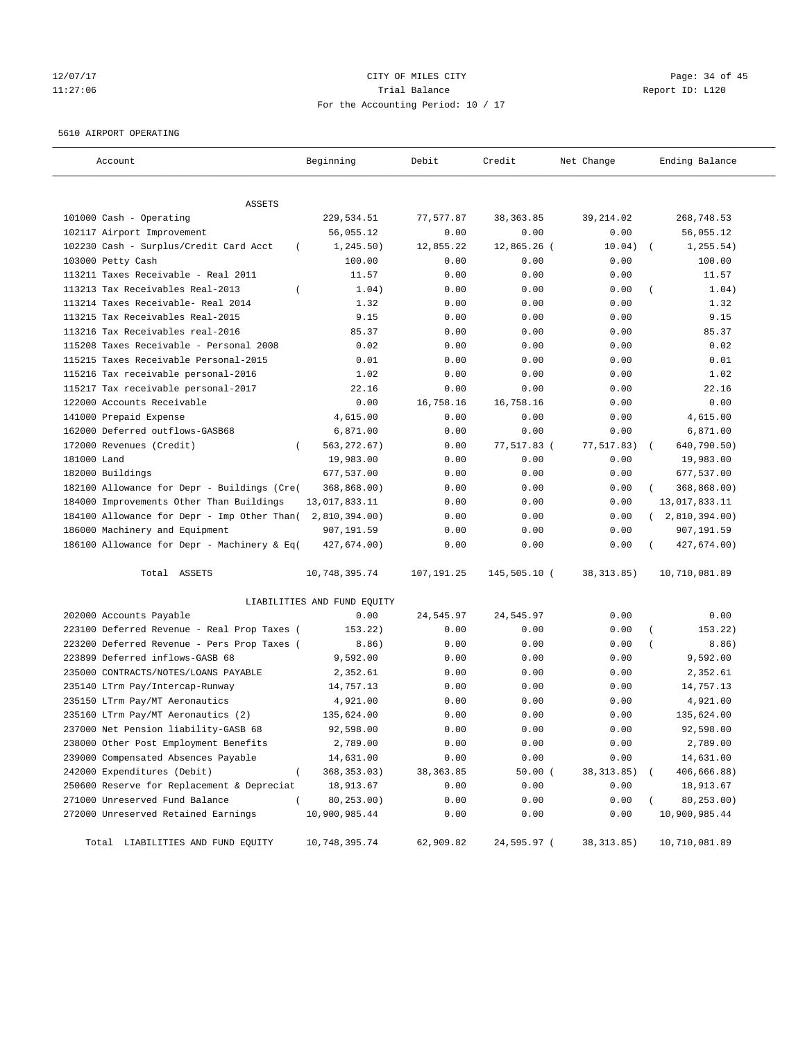# 12/07/17 Page: 34 of 45 11:27:06 Trial Balance Report ID: L120 For the Accounting Period: 10 / 17

#### 5610 AIRPORT OPERATING

| Account                                            | Beginning                   | Debit      | Credit       | Net Change  | Ending Balance            |
|----------------------------------------------------|-----------------------------|------------|--------------|-------------|---------------------------|
| ASSETS                                             |                             |            |              |             |                           |
| 101000 Cash - Operating                            | 229,534.51                  | 77,577.87  | 38, 363.85   | 39, 214.02  | 268,748.53                |
| 102117 Airport Improvement                         | 56,055.12                   | 0.00       | 0.00         | 0.00        | 56,055.12                 |
| 102230 Cash - Surplus/Credit Card Acct<br>$\left($ | 1, 245.50)                  | 12,855.22  | 12,865.26 (  | 10.04)      | 1, 255.54)                |
| 103000 Petty Cash                                  | 100.00                      | 0.00       | 0.00         | 0.00        | 100.00                    |
| 113211 Taxes Receivable - Real 2011                | 11.57                       | 0.00       | 0.00         | 0.00        | 11.57                     |
| 113213 Tax Receivables Real-2013                   | 1.04)                       | 0.00       | 0.00         | 0.00        | 1.04)                     |
| 113214 Taxes Receivable- Real 2014                 | 1.32                        | 0.00       | 0.00         | 0.00        | 1.32                      |
| 113215 Tax Receivables Real-2015                   | 9.15                        | 0.00       | 0.00         | 0.00        | 9.15                      |
| 113216 Tax Receivables real-2016                   | 85.37                       | 0.00       | 0.00         | 0.00        | 85.37                     |
| 115208 Taxes Receivable - Personal 2008            | 0.02                        | 0.00       | 0.00         | 0.00        | 0.02                      |
| 115215 Taxes Receivable Personal-2015              | 0.01                        | 0.00       | 0.00         | 0.00        | 0.01                      |
| 115216 Tax receivable personal-2016                | 1.02                        | 0.00       | 0.00         | 0.00        | 1.02                      |
| 115217 Tax receivable personal-2017                | 22.16                       | 0.00       | 0.00         | 0.00        | 22.16                     |
| 122000 Accounts Receivable                         | 0.00                        | 16,758.16  | 16,758.16    | 0.00        | 0.00                      |
| 141000 Prepaid Expense                             | 4,615.00                    | 0.00       | 0.00         | 0.00        | 4,615.00                  |
| 162000 Deferred outflows-GASB68                    | 6,871.00                    | 0.00       | 0.00         | 0.00        | 6,871.00                  |
| 172000 Revenues (Credit)                           | 563, 272.67)                | 0.00       | 77,517.83 (  | 77,517.83)  | 640,790.50)<br>$\sqrt{2}$ |
| 181000 Land                                        | 19,983.00                   | 0.00       | 0.00         | 0.00        | 19,983.00                 |
| 182000 Buildings                                   | 677,537.00                  | 0.00       | 0.00         | 0.00        | 677,537.00                |
| 182100 Allowance for Depr - Buildings (Cre(        | 368,868.00)                 | 0.00       | 0.00         | 0.00        | 368,868.00)               |
| 184000 Improvements Other Than Buildings           | 13,017,833.11               | 0.00       | 0.00         | 0.00        | 13,017,833.11             |
| 184100 Allowance for Depr - Imp Other Than(        | 2,810,394.00)               | 0.00       | 0.00         | 0.00        | (2,810,394.00)            |
| 186000 Machinery and Equipment                     | 907,191.59                  | 0.00       | 0.00         | 0.00        | 907,191.59                |
| 186100 Allowance for Depr - Machinery & Eq(        | 427,674.00)                 | 0.00       | 0.00         | 0.00        | 427,674.00)               |
| Total ASSETS                                       | 10,748,395.74               | 107,191.25 | 145,505.10 ( | 38, 313.85) | 10,710,081.89             |
|                                                    | LIABILITIES AND FUND EQUITY |            |              |             |                           |
| 202000 Accounts Payable                            | 0.00                        | 24,545.97  | 24,545.97    | 0.00        | 0.00                      |
| 223100 Deferred Revenue - Real Prop Taxes (        | 153.22)                     | 0.00       | 0.00         | 0.00        | 153.22)                   |
| 223200 Deferred Revenue - Pers Prop Taxes (        | 8.86)                       | 0.00       | 0.00         | 0.00        | 8.86)                     |
| 223899 Deferred inflows-GASB 68                    | 9,592.00                    | 0.00       | 0.00         | 0.00        | 9,592.00                  |
| 235000 CONTRACTS/NOTES/LOANS PAYABLE               | 2,352.61                    | 0.00       | 0.00         | 0.00        | 2,352.61                  |
| 235140 LTrm Pay/Intercap-Runway                    | 14,757.13                   | 0.00       | 0.00         | 0.00        | 14,757.13                 |
| 235150 LTrm Pay/MT Aeronautics                     | 4,921.00                    | 0.00       | 0.00         | 0.00        | 4,921.00                  |
| 235160 LTrm Pay/MT Aeronautics (2)                 | 135,624.00                  | 0.00       | 0.00         | 0.00        | 135,624.00                |
| 237000 Net Pension liability-GASB 68               | 92,598.00                   | 0.00       | 0.00         | 0.00        | 92,598.00                 |
| 238000 Other Post Employment Benefits              | 2,789.00                    | 0.00       | 0.00         | 0.00        | 2,789.00                  |
| 239000 Compensated Absences Payable                | 14,631.00                   | 0.00       | 0.00         | 0.00        | 14,631.00                 |
| 242000 Expenditures (Debit)<br>$\left($            | 368, 353.03)                | 38, 363.85 | 50.00(       | 38, 313.85) | 406,666.88)               |
| 250600 Reserve for Replacement & Depreciat         | 18,913.67                   | 0.00       | 0.00         | 0.00        | 18,913.67                 |
| 271000 Unreserved Fund Balance                     | 80,253.00)                  | 0.00       | 0.00         | 0.00        | 80,253.00)                |
| 272000 Unreserved Retained Earnings                | 10,900,985.44               | 0.00       | 0.00         | 0.00        | 10,900,985.44             |
| Total LIABILITIES AND FUND EQUITY                  | 10,748,395.74               | 62,909.82  | 24,595.97 (  | 38, 313.85) | 10,710,081.89             |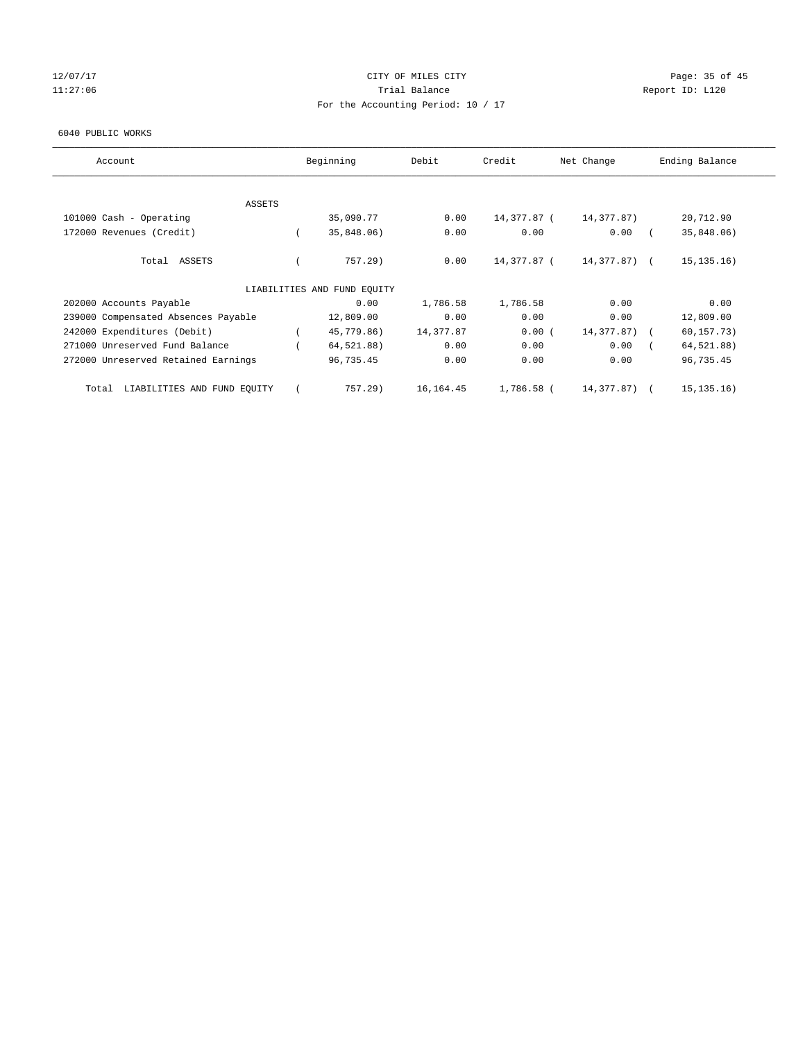# 12/07/17 Page: 35 of 45 11:27:06 **Trial Balance Trial Balance Report ID:** L120 For the Accounting Period: 10 / 17

#### 6040 PUBLIC WORKS

| Account                              | Beginning                   | Debit      | Credit      | Net Change   | Ending Balance |
|--------------------------------------|-----------------------------|------------|-------------|--------------|----------------|
|                                      |                             |            |             |              |                |
| ASSETS                               |                             |            |             |              |                |
| 101000 Cash - Operating              | 35,090.77                   | 0.00       | 14,377.87 ( | 14,377.87)   | 20,712.90      |
| 172000 Revenues (Credit)             | 35,848.06)                  | 0.00       | 0.00        | 0.00         | 35,848.06)     |
| Total ASSETS                         | 757.29)                     | 0.00       | 14,377.87 ( | 14,377.87) ( | 15, 135, 16)   |
|                                      | LIABILITIES AND FUND EQUITY |            |             |              |                |
| 202000 Accounts Payable              | 0.00                        | 1,786.58   | 1,786.58    | 0.00         | 0.00           |
| 239000 Compensated Absences Payable  | 12,809.00                   | 0.00       | 0.00        | 0.00         | 12,809.00      |
| 242000 Expenditures (Debit)          | 45,779.86)                  | 14,377.87  | 0.00(       | 14,377.87)   | 60, 157.73)    |
| 271000 Unreserved Fund Balance       | 64,521.88)                  | 0.00       | 0.00        | 0.00         | 64,521.88)     |
| 272000 Unreserved Retained Earnings  | 96,735.45                   | 0.00       | 0.00        | 0.00         | 96,735.45      |
| LIABILITIES AND FUND EQUITY<br>Total | $757.29$ )                  | 16, 164.45 | 1,786.58 (  | 14,377.87) ( | 15, 135, 16)   |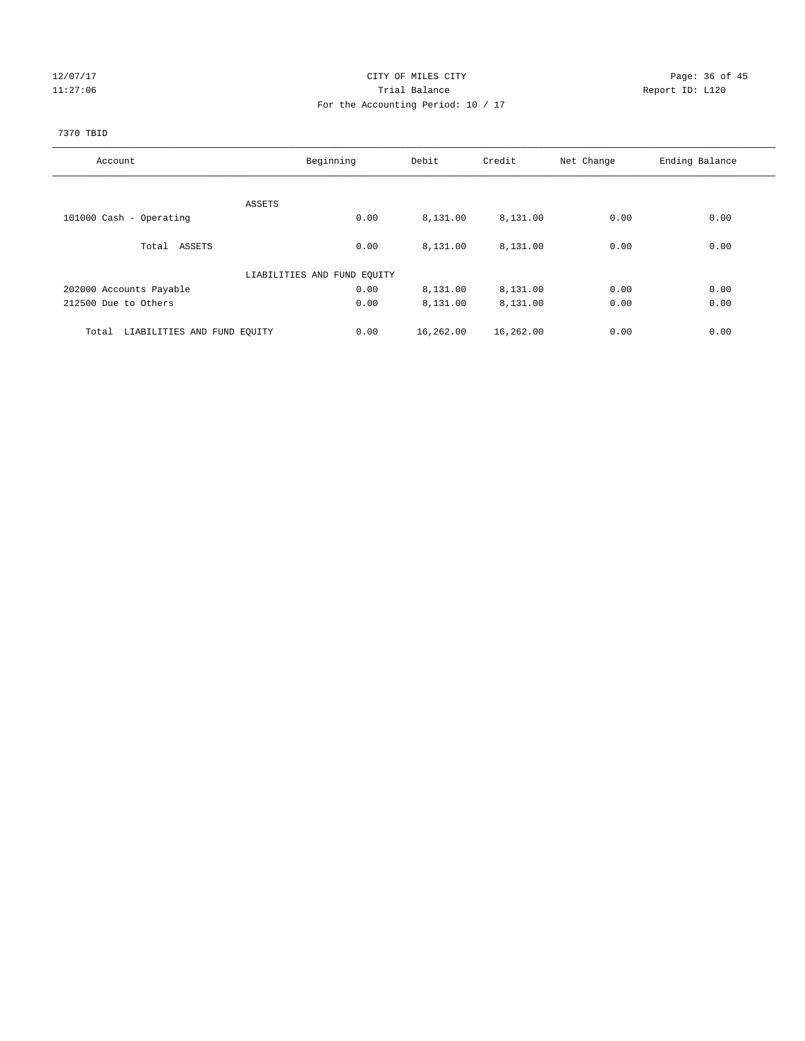# 12/07/17 Page: 36 of 45 11:27:06 **Trial Balance Trial Balance Report ID:** L120 For the Accounting Period: 10 / 17

### 7370 TBID

| Account                              | Beginning                   |      | Debit     | Credit    | Net Change | Ending Balance |
|--------------------------------------|-----------------------------|------|-----------|-----------|------------|----------------|
|                                      |                             |      |           |           |            |                |
|                                      | ASSETS                      |      |           |           |            |                |
| 101000 Cash - Operating              |                             | 0.00 | 8,131.00  | 8,131.00  | 0.00       | 0.00           |
| Total ASSETS                         |                             | 0.00 | 8,131.00  | 8,131.00  | 0.00       | 0.00           |
|                                      | LIABILITIES AND FUND EQUITY |      |           |           |            |                |
| 202000 Accounts Payable              |                             | 0.00 | 8,131.00  | 8,131.00  | 0.00       | 0.00           |
| 212500 Due to Others                 |                             | 0.00 | 8,131.00  | 8,131.00  | 0.00       | 0.00           |
| LIABILITIES AND FUND EQUITY<br>Total |                             | 0.00 | 16,262.00 | 16,262.00 | 0.00       | 0.00           |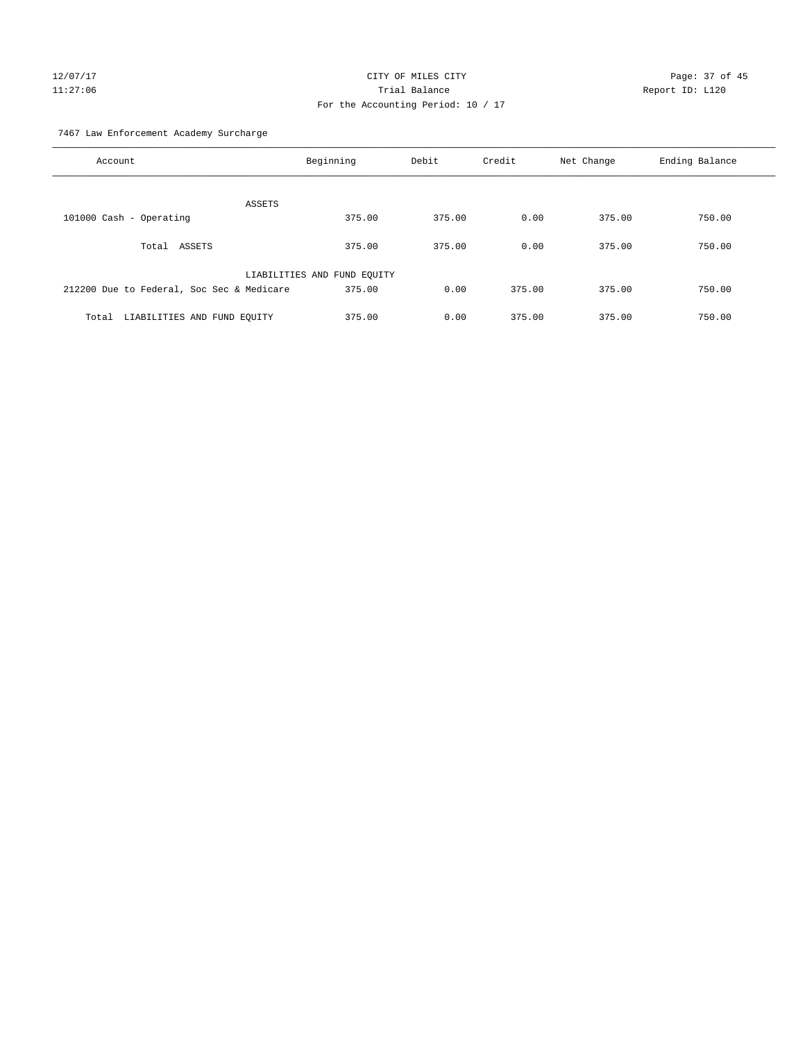# 12/07/17 Page: 37 of 45 11:27:06 Trial Balance Report ID: L120 For the Accounting Period: 10 / 17

7467 Law Enforcement Academy Surcharge

| Account                                   | Beginning                   | Debit  | Credit | Net Change | Ending Balance |
|-------------------------------------------|-----------------------------|--------|--------|------------|----------------|
| ASSETS                                    |                             |        |        |            |                |
| 101000 Cash - Operating                   | 375.00                      | 375.00 | 0.00   | 375.00     | 750.00         |
| ASSETS<br>Total                           | 375.00                      | 375.00 | 0.00   | 375.00     | 750.00         |
|                                           | LIABILITIES AND FUND EQUITY |        |        |            |                |
| 212200 Due to Federal, Soc Sec & Medicare | 375.00                      | 0.00   | 375.00 | 375.00     | 750.00         |
| LIABILITIES AND FUND EQUITY<br>Total      | 375.00                      | 0.00   | 375.00 | 375.00     | 750.00         |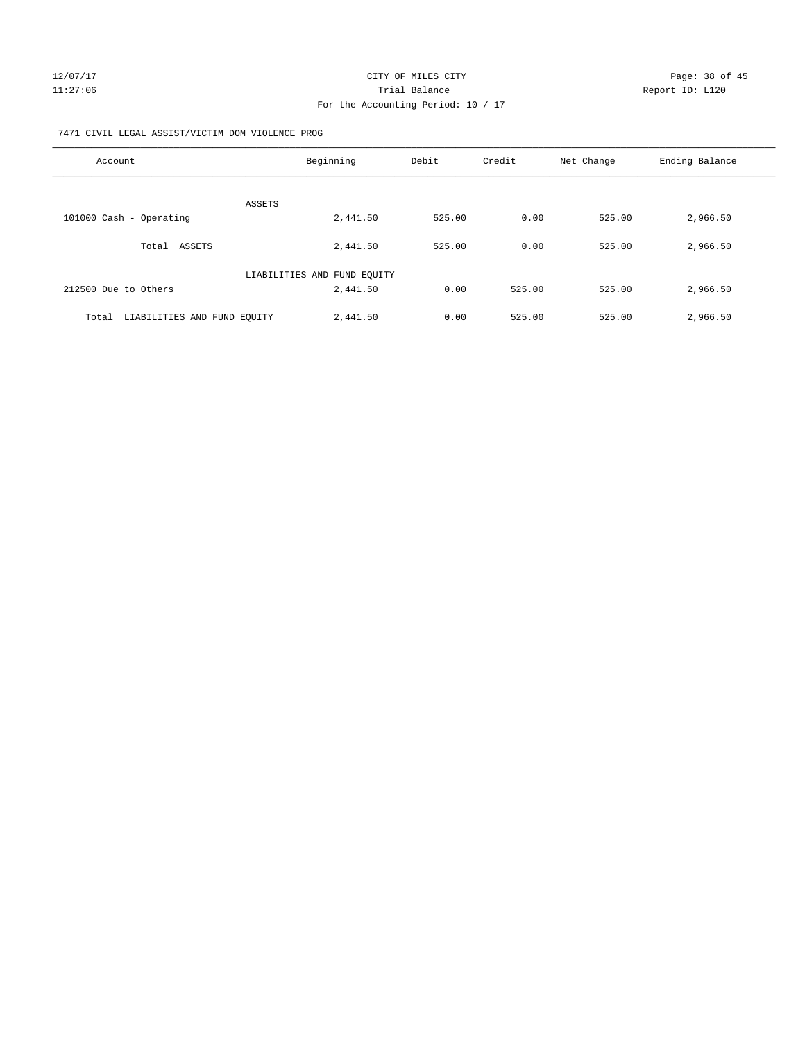#### 7471 CIVIL LEGAL ASSIST/VICTIM DOM VIOLENCE PROG

| Account                              | Beginning                   | Debit  | Credit | Net Change | Ending Balance |
|--------------------------------------|-----------------------------|--------|--------|------------|----------------|
| ASSETS                               |                             |        |        |            |                |
| 101000 Cash - Operating              | 2,441.50                    | 525.00 | 0.00   | 525.00     | 2,966.50       |
| Total ASSETS                         | 2,441.50                    | 525.00 | 0.00   | 525.00     | 2,966.50       |
|                                      | LIABILITIES AND FUND EQUITY |        |        |            |                |
| 212500 Due to Others                 | 2,441.50                    | 0.00   | 525.00 | 525.00     | 2,966.50       |
| LIABILITIES AND FUND EQUITY<br>Total | 2,441.50                    | 0.00   | 525.00 | 525.00     | 2,966.50       |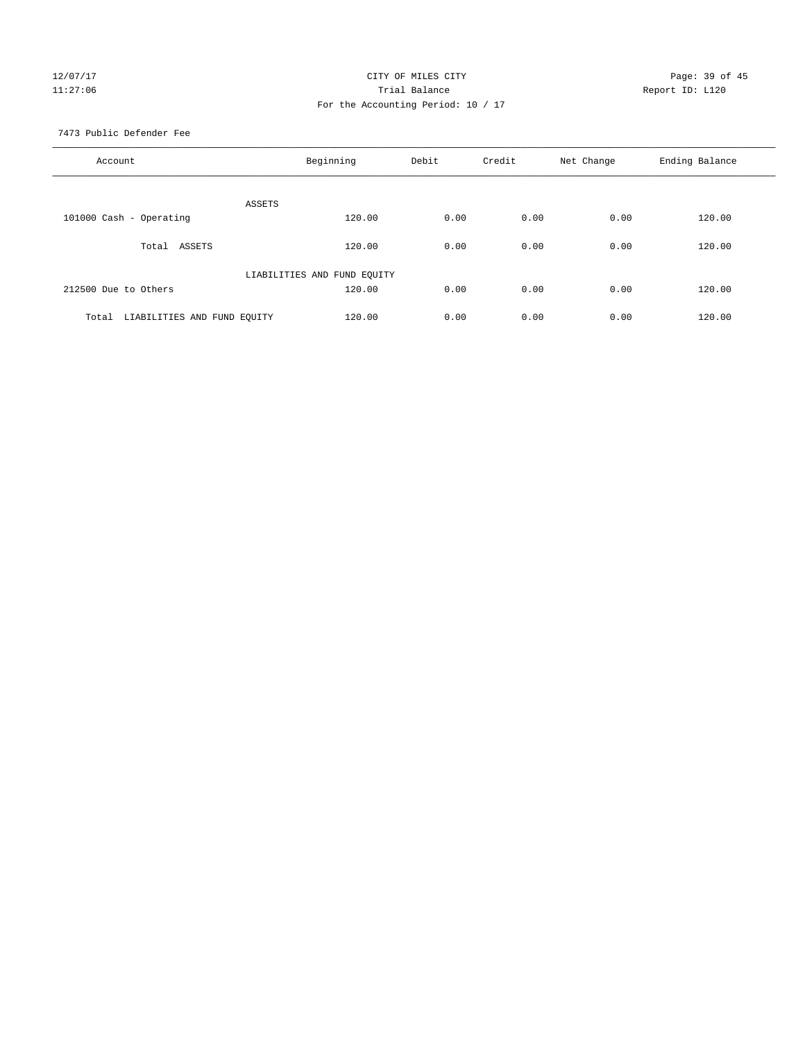# 12/07/17 Page: 39 of 45 11:27:06 **Trial Balance Trial Balance Report ID:** L120 For the Accounting Period: 10 / 17

7473 Public Defender Fee

| Account                              | Beginning                   | Debit | Credit | Net Change | Ending Balance |
|--------------------------------------|-----------------------------|-------|--------|------------|----------------|
| <b>ASSETS</b>                        |                             |       |        |            |                |
| 101000 Cash - Operating              | 120.00                      | 0.00  | 0.00   | 0.00       | 120.00         |
| ASSETS<br>Total                      | 120.00                      | 0.00  | 0.00   | 0.00       | 120.00         |
|                                      | LIABILITIES AND FUND EQUITY |       |        |            |                |
| 212500 Due to Others                 | 120.00                      | 0.00  | 0.00   | 0.00       | 120.00         |
| LIABILITIES AND FUND EQUITY<br>Total | 120.00                      | 0.00  | 0.00   | 0.00       | 120.00         |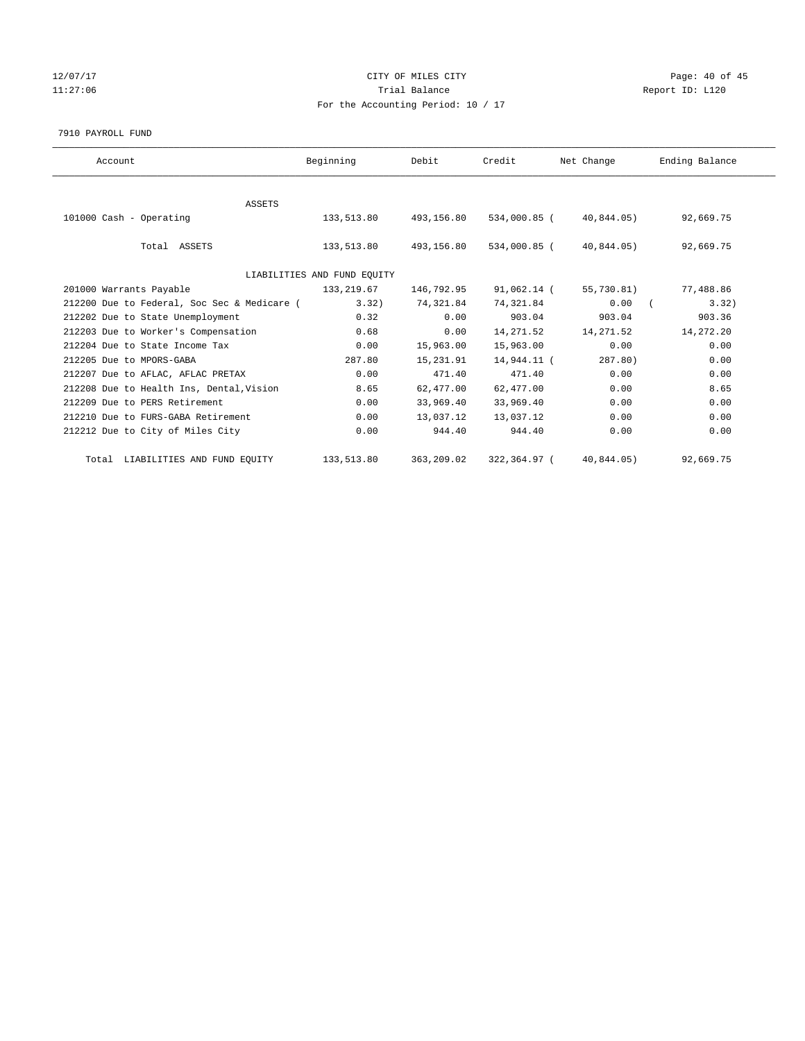# 12/07/17 Page: 40 of 45 11:27:06 **Trial Balance Trial Balance Report ID:** L120 For the Accounting Period: 10 / 17

#### 7910 PAYROLL FUND

| Account                                     | Beginning                   | Debit      | Credit       | Net Change | Ending Balance |
|---------------------------------------------|-----------------------------|------------|--------------|------------|----------------|
|                                             |                             |            |              |            |                |
| <b>ASSETS</b>                               |                             |            |              |            |                |
| 101000 Cash - Operating                     | 133,513.80                  | 493,156.80 | 534,000.85 ( | 40,844.05) | 92,669.75      |
|                                             |                             |            |              |            |                |
| Total ASSETS                                | 133,513.80                  | 493,156.80 | 534,000.85 ( | 40,844.05) | 92,669.75      |
|                                             |                             |            |              |            |                |
|                                             | LIABILITIES AND FUND EQUITY |            |              |            |                |
| 201000 Warrants Payable                     | 133, 219.67                 | 146,792.95 | 91,062.14 (  | 55,730.81) | 77,488.86      |
| 212200 Due to Federal, Soc Sec & Medicare ( | 3.32)                       | 74,321.84  | 74,321.84    | 0.00       | 3.32)          |
| 212202 Due to State Unemployment            | 0.32                        | 0.00       | 903.04       | 903.04     | 903.36         |
| 212203 Due to Worker's Compensation         | 0.68                        | 0.00       | 14,271.52    | 14,271.52  | 14,272.20      |
| 212204 Due to State Income Tax              | 0.00                        | 15,963.00  | 15,963.00    | 0.00       | 0.00           |
| 212205 Due to MPORS-GABA                    | 287.80                      | 15,231.91  | 14,944.11 (  | 287.80     | 0.00           |
| 212207 Due to AFLAC, AFLAC PRETAX           | 0.00                        | 471.40     | 471.40       | 0.00       | 0.00           |
| 212208 Due to Health Ins, Dental, Vision    | 8.65                        | 62,477.00  | 62,477.00    | 0.00       | 8.65           |
| 212209 Due to PERS Retirement               | 0.00                        | 33,969.40  | 33,969.40    | 0.00       | 0.00           |
| 212210 Due to FURS-GABA Retirement          | 0.00                        | 13,037.12  | 13,037.12    | 0.00       | 0.00           |
| 212212 Due to City of Miles City            | 0.00                        | 944.40     | 944.40       | 0.00       | 0.00           |
|                                             |                             |            |              |            |                |
| Total LIABILITIES AND FUND EQUITY           | 133,513.80                  | 363,209.02 | 322,364.97 ( | 40,844.05) | 92,669.75      |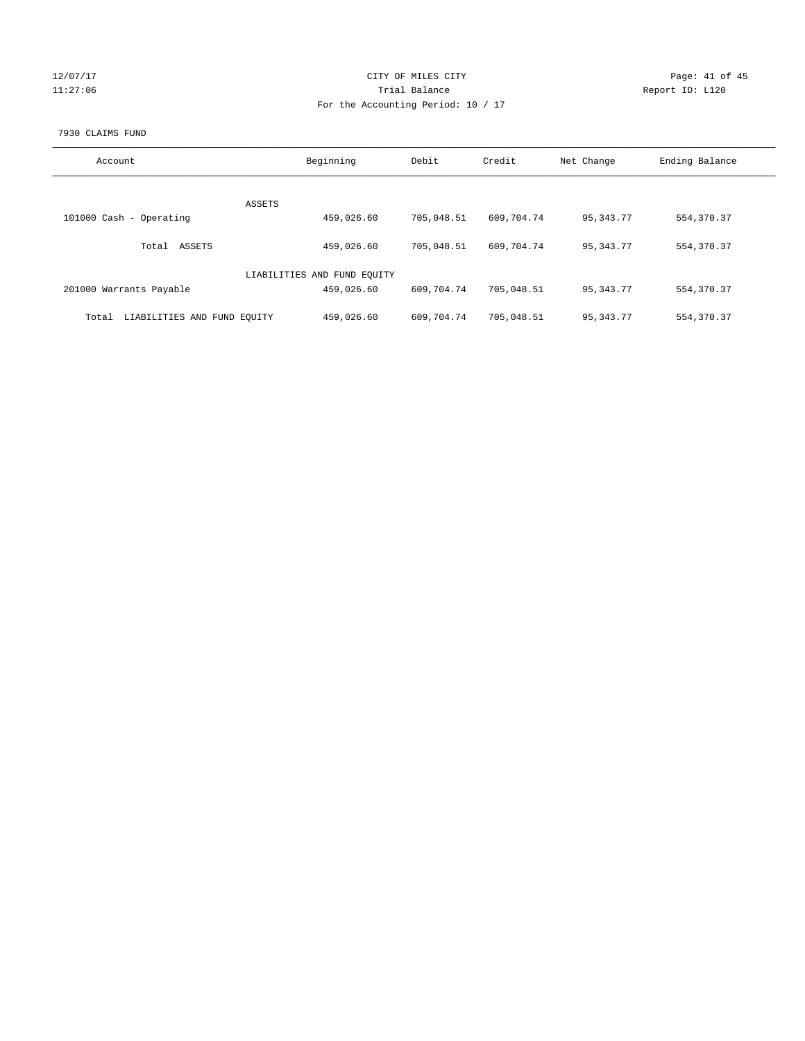| 127<br>O |   |
|----------|---|
|          | n |

# CITY OF MILES CITY CONTROL CONTROL CITY CONTROL Page: 41 of 45 127:06 Trial Balance Report ID: L120 For the Accounting Period: 10 / 17

#### 7930 CLAIMS FUND

| Account                              | Beginning                   | Debit      | Credit     | Net Change  | Ending Balance |
|--------------------------------------|-----------------------------|------------|------------|-------------|----------------|
|                                      |                             |            |            |             |                |
|                                      | ASSETS                      |            |            |             |                |
| 101000 Cash - Operating              | 459,026.60                  | 705,048.51 | 609,704.74 | 95, 343, 77 | 554, 370.37    |
| ASSETS<br>Total                      | 459,026.60                  | 705,048.51 | 609,704.74 | 95, 343, 77 | 554, 370.37    |
|                                      | LIABILITIES AND FUND EQUITY |            |            |             |                |
| 201000 Warrants Payable              | 459,026.60                  | 609,704.74 | 705,048.51 | 95, 343, 77 | 554, 370.37    |
| LIABILITIES AND FUND EQUITY<br>Total | 459,026.60                  | 609,704.74 | 705,048.51 | 95, 343. 77 | 554, 370.37    |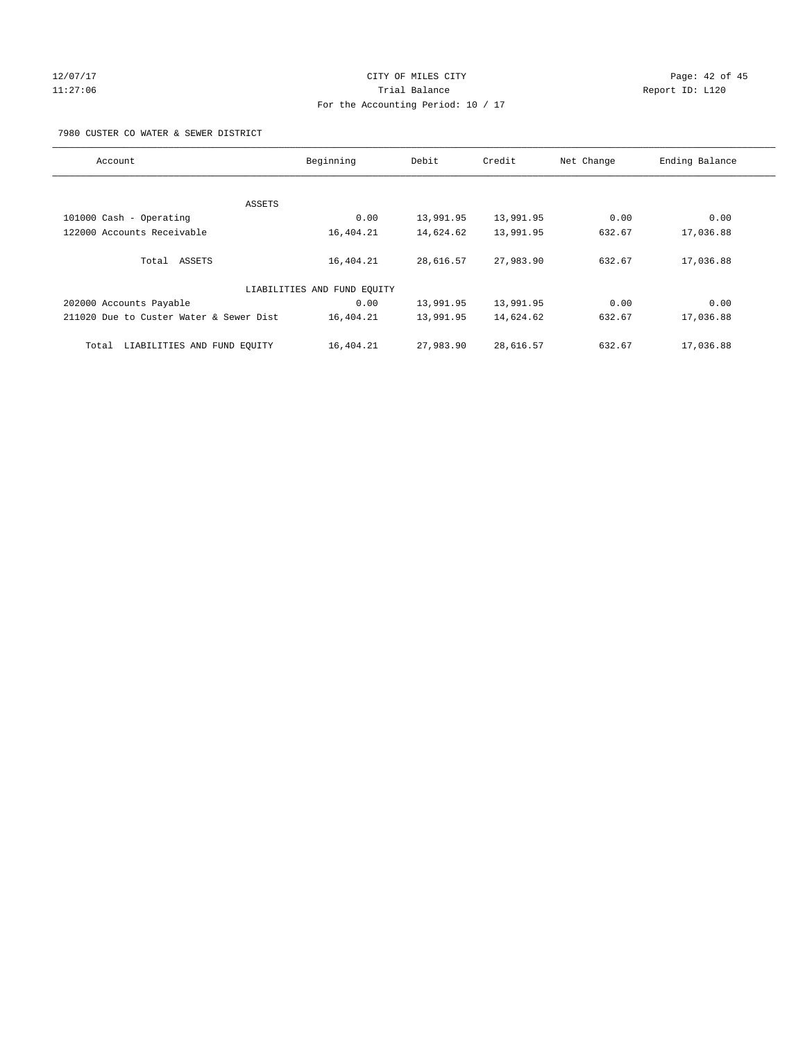# 12/07/17 Page: 42 of 45 11:27:06 Trial Balance Report ID: L120 For the Accounting Period: 10 / 17

7980 CUSTER CO WATER & SEWER DISTRICT

| Account                                 | Beginning                   | Debit     | Credit    | Net Change | Ending Balance |
|-----------------------------------------|-----------------------------|-----------|-----------|------------|----------------|
|                                         |                             |           |           |            |                |
| ASSETS                                  |                             |           |           |            |                |
| 101000 Cash - Operating                 | 0.00                        | 13,991.95 | 13,991.95 | 0.00       | 0.00           |
| 122000 Accounts Receivable              | 16,404.21                   | 14,624.62 | 13,991.95 | 632.67     | 17,036.88      |
| Total ASSETS                            | 16,404.21                   | 28,616.57 | 27,983.90 | 632.67     | 17,036.88      |
|                                         | LIABILITIES AND FUND EQUITY |           |           |            |                |
| 202000 Accounts Payable                 | 0.00                        | 13,991.95 | 13,991.95 | 0.00       | 0.00           |
| 211020 Due to Custer Water & Sewer Dist | 16,404.21                   | 13,991.95 | 14,624.62 | 632.67     | 17,036.88      |
| LIABILITIES AND FUND EQUITY<br>Total    | 16,404.21                   | 27,983.90 | 28,616.57 | 632.67     | 17,036.88      |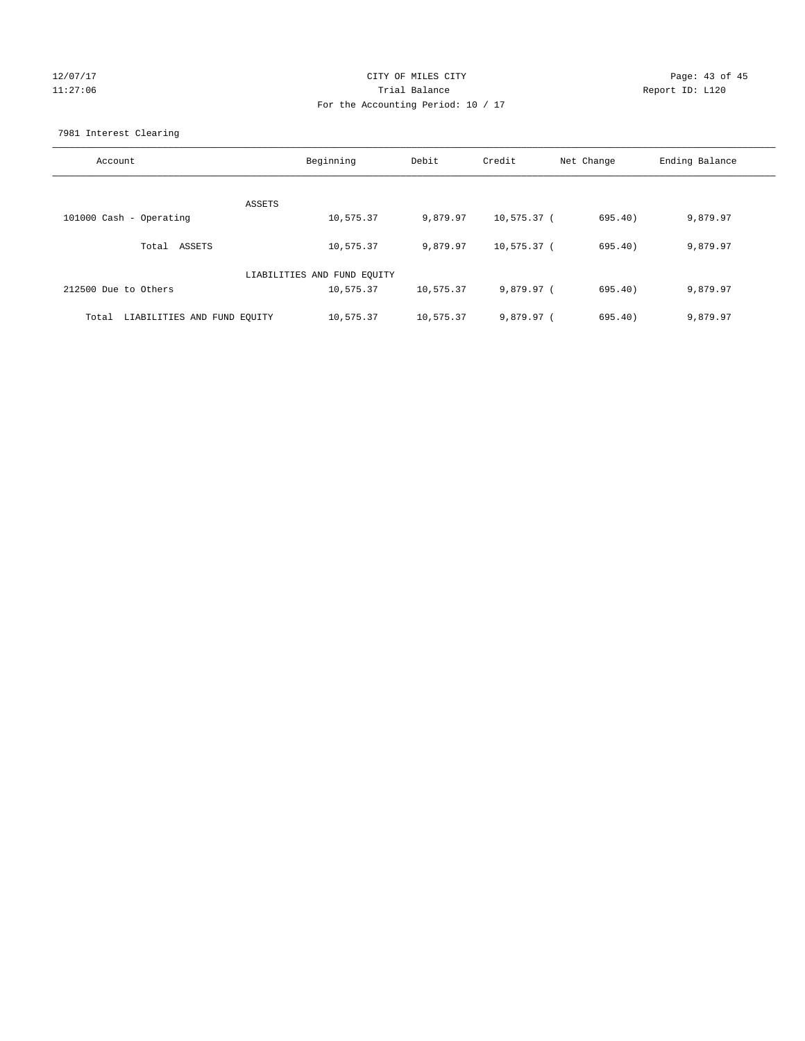# 12/07/17 Page: 43 of 45 11:27:06 Trial Balance Report ID: L120 For the Accounting Period: 10 / 17

7981 Interest Clearing

| Account                              | Beginning                   | Debit     | Credit      | Net Change | Ending Balance |
|--------------------------------------|-----------------------------|-----------|-------------|------------|----------------|
|                                      |                             |           |             |            |                |
|                                      | ASSETS                      |           |             |            |                |
| 101000 Cash - Operating              | 10,575.37                   | 9,879.97  | 10,575.37 ( | 695.40)    | 9,879.97       |
| Total ASSETS                         | 10,575.37                   | 9,879.97  | 10,575.37 ( | 695.40)    | 9,879.97       |
|                                      | LIABILITIES AND FUND EQUITY |           |             |            |                |
| 212500 Due to Others                 | 10,575.37                   | 10,575.37 | 9,879.97 (  | 695.40)    | 9,879.97       |
| LIABILITIES AND FUND EQUITY<br>Total | 10,575.37                   | 10,575.37 | 9,879.97 (  | 695.40     | 9,879.97       |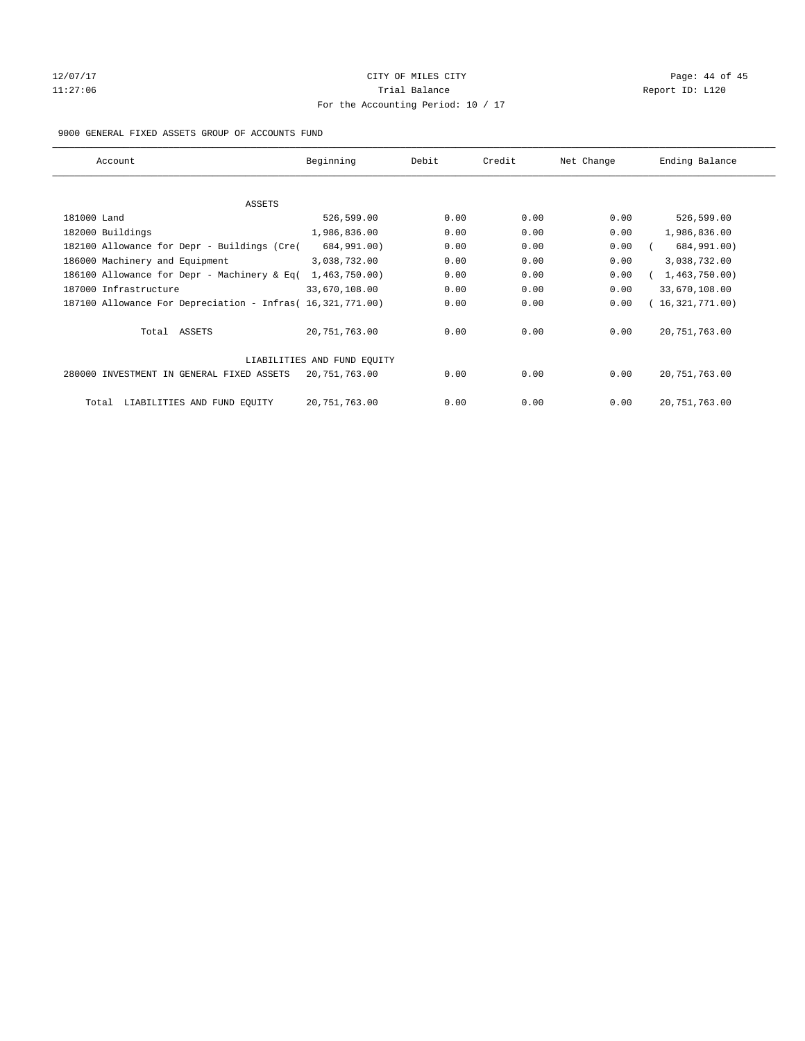# 12/07/17 Page: 44 of 45 11:27:06 **Trial Balance Trial Balance Report ID:** L120 For the Accounting Period: 10 / 17

#### 9000 GENERAL FIXED ASSETS GROUP OF ACCOUNTS FUND

| Account                                                    | Beginning                   | Debit | Credit | Net Change | Ending Balance  |
|------------------------------------------------------------|-----------------------------|-------|--------|------------|-----------------|
| ASSETS                                                     |                             |       |        |            |                 |
| 181000 Land                                                | 526,599.00                  | 0.00  | 0.00   | 0.00       | 526,599.00      |
| 182000 Buildings                                           | 1,986,836.00                | 0.00  | 0.00   | 0.00       | 1,986,836.00    |
| 182100 Allowance for Depr - Buildings (Cre(                | 684,991.00)                 | 0.00  | 0.00   | 0.00       | 684,991.00)     |
| 186000 Machinery and Equipment                             | 3,038,732.00                | 0.00  | 0.00   | 0.00       | 3,038,732.00    |
| 186100 Allowance for Depr - Machinery & Eq(                | 1,463,750.00                | 0.00  | 0.00   | 0.00       | 1,463,750.00    |
| 187000 Infrastructure                                      | 33,670,108.00               | 0.00  | 0.00   | 0.00       | 33,670,108.00   |
| 187100 Allowance For Depreciation - Infras( 16,321,771.00) |                             | 0.00  | 0.00   | 0.00       | 16,321,771.00)  |
| Total ASSETS                                               | 20, 751, 763.00             | 0.00  | 0.00   | 0.00       | 20, 751, 763.00 |
|                                                            | LIABILITIES AND FUND EQUITY |       |        |            |                 |
| 280000 INVESTMENT IN GENERAL FIXED ASSETS                  | 20, 751, 763.00             | 0.00  | 0.00   | 0.00       | 20, 751, 763.00 |
| LIABILITIES AND FUND EQUITY<br>Total                       | 20, 751, 763.00             | 0.00  | 0.00   | 0.00       | 20, 751, 763.00 |